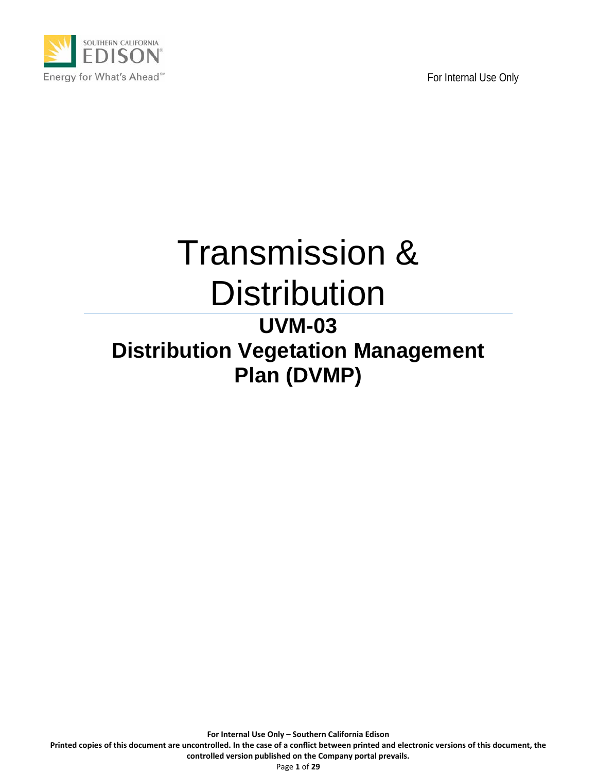

# Transmission & **Distribution**

## **UVM-03 Distribution Vegetation Management Plan (DVMP)**

**For Internal Use Only – Southern California Edison Printed copies of this document are uncontrolled. In the case of a conflict between printed and electronic versions of this document, the controlled version published on the Company portal prevails.**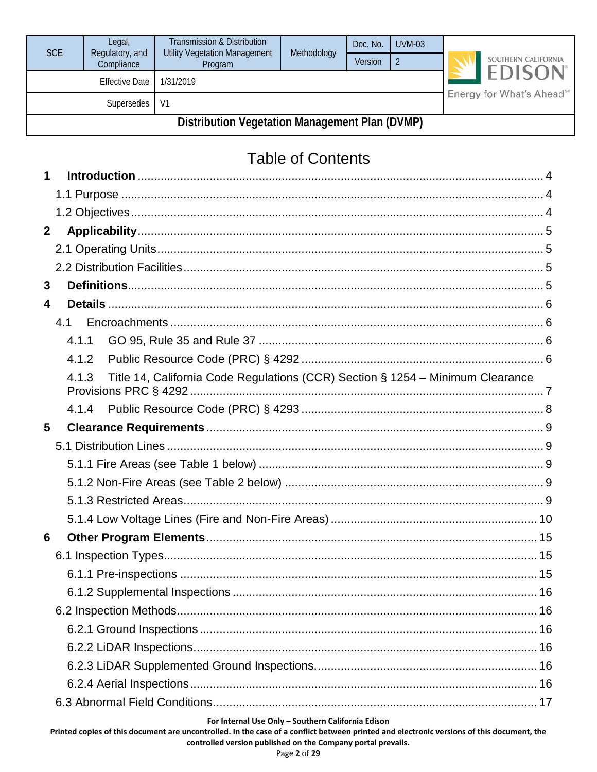| <b>SCE</b>                                     | Legal,                        | Transmission & Distribution                     |             | Doc. No. | $UVM-03$ |                                      |                     |  |
|------------------------------------------------|-------------------------------|-------------------------------------------------|-------------|----------|----------|--------------------------------------|---------------------|--|
|                                                | Regulatory, and<br>Compliance | <b>Utility Vegetation Management</b><br>Program | Methodology | Version  |          |                                      | SOUTHERN CALIFORNIA |  |
| <b>Effective Date</b><br>1/31/2019             |                               |                                                 |             |          |          | <b>EDISON</b>                        |                     |  |
| Supersedes   V1                                |                               |                                                 |             |          |          | Energy for What's Ahead <sup>®</sup> |                     |  |
| Distribution Vegetation Management Plan (DVMP) |                               |                                                 |             |          |          |                                      |                     |  |

### **Table of Contents**

| 1            |                                                                                         |  |
|--------------|-----------------------------------------------------------------------------------------|--|
|              |                                                                                         |  |
|              |                                                                                         |  |
| $\mathbf{2}$ |                                                                                         |  |
|              |                                                                                         |  |
|              |                                                                                         |  |
| 3            |                                                                                         |  |
| 4            |                                                                                         |  |
|              | 4.1                                                                                     |  |
|              | 4.1.1                                                                                   |  |
|              | 4.1.2                                                                                   |  |
|              | Title 14, California Code Regulations (CCR) Section § 1254 - Minimum Clearance<br>4.1.3 |  |
|              | 4.1.4                                                                                   |  |
| 5            |                                                                                         |  |
|              |                                                                                         |  |
|              |                                                                                         |  |
|              |                                                                                         |  |
|              |                                                                                         |  |
|              |                                                                                         |  |
| 6            |                                                                                         |  |
|              |                                                                                         |  |
|              |                                                                                         |  |
|              |                                                                                         |  |
|              |                                                                                         |  |
|              |                                                                                         |  |
|              |                                                                                         |  |
|              |                                                                                         |  |
|              |                                                                                         |  |
|              |                                                                                         |  |

For Internal Use Only - Southern California Edison

Printed copies of this document are uncontrolled. In the case of a conflict between printed and electronic versions of this document, the controlled version published on the Company portal prevails.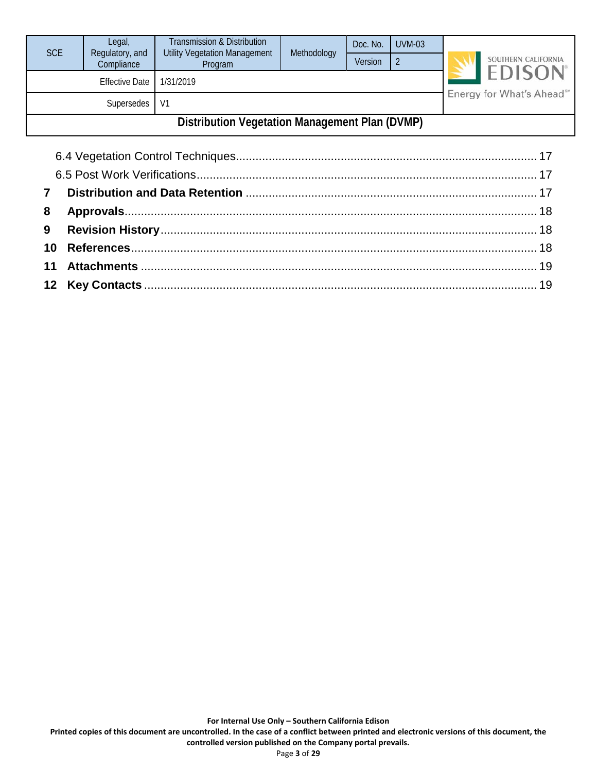| <b>SCE</b>                                     | Transmission & Distribution<br>Legal,<br><b>Utility Vegetation Management</b><br>Regulatory, and |                | Methodology | Doc. No. | <b>UVM-03</b> |                                                       |                     |  |
|------------------------------------------------|--------------------------------------------------------------------------------------------------|----------------|-------------|----------|---------------|-------------------------------------------------------|---------------------|--|
|                                                | Compliance                                                                                       | <b>Program</b> |             | Version  |               |                                                       | SOUTHERN CALIFORNIA |  |
|                                                | <b>Effective Date</b>                                                                            | 1/31/2019      |             |          |               | <b>EDISON</b><br>Energy for What's Ahead <sup>®</sup> |                     |  |
| Supersedes   V1                                |                                                                                                  |                |             |          |               |                                                       |                     |  |
| Distribution Vegetation Management Plan (DVMP) |                                                                                                  |                |             |          |               |                                                       |                     |  |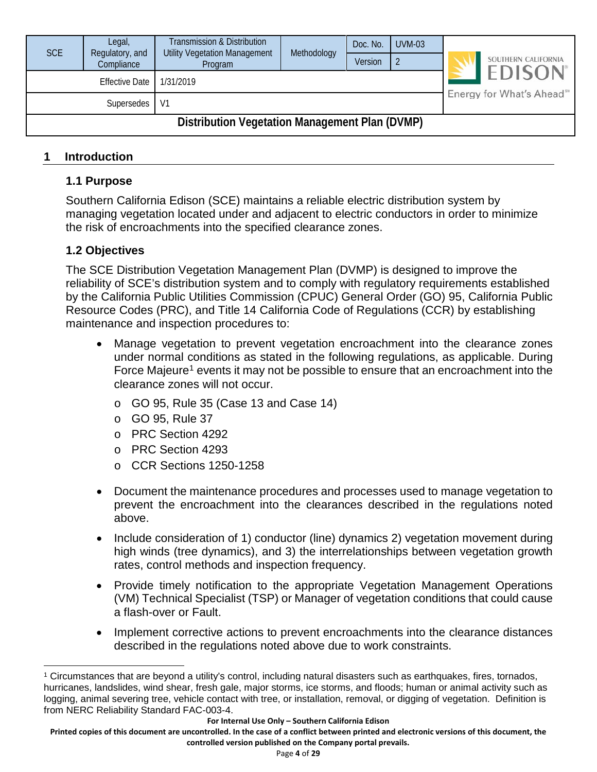| <b>SCE</b>                                     | Legal,<br>Regulatory, and | Transmission & Distribution<br><b>Utility Vegetation Management</b> | Methodology | Doc. No. | <b>UVM-03</b> |                                      |                     |  |
|------------------------------------------------|---------------------------|---------------------------------------------------------------------|-------------|----------|---------------|--------------------------------------|---------------------|--|
|                                                | Compliance                | Program                                                             |             | Version  |               |                                      | SOUTHERN CALIFORNIA |  |
| 1/31/2019<br><b>Effective Date</b>             |                           |                                                                     |             |          |               | <b>EDISON</b>                        |                     |  |
| - V1<br>Supersedes                             |                           |                                                                     |             |          |               | Energy for What's Ahead <sup>®</sup> |                     |  |
| Distribution Vegetation Management Plan (DVMP) |                           |                                                                     |             |          |               |                                      |                     |  |

#### <span id="page-3-1"></span><span id="page-3-0"></span>**1 Introduction**

#### **1.1 Purpose**

Southern California Edison (SCE) maintains a reliable electric distribution system by managing vegetation located under and adjacent to electric conductors in order to minimize the risk of encroachments into the specified clearance zones.

#### <span id="page-3-2"></span>**1.2 Objectives**

The SCE Distribution Vegetation Management Plan (DVMP) is designed to improve the reliability of SCE's distribution system and to comply with regulatory requirements established by the California Public Utilities Commission (CPUC) General Order (GO) 95, California Public Resource Codes (PRC), and Title 14 California Code of Regulations (CCR) by establishing maintenance and inspection procedures to:

- Manage vegetation to prevent vegetation encroachment into the clearance zones under normal conditions as stated in the following regulations, as applicable. During Force Majeure<sup>[1](#page-3-3)</sup> events it may not be possible to ensure that an encroachment into the clearance zones will not occur.
	- o GO 95, Rule 35 (Case 13 and Case 14)
	- o GO 95, Rule 37
	- o PRC Section 4292
	- o PRC Section 4293
	- o CCR Sections 1250-1258
- Document the maintenance procedures and processes used to manage vegetation to prevent the encroachment into the clearances described in the regulations noted above.
- Include consideration of 1) conductor (line) dynamics 2) vegetation movement during high winds (tree dynamics), and 3) the interrelationships between vegetation growth rates, control methods and inspection frequency.
- Provide timely notification to the appropriate Vegetation Management Operations (VM) Technical Specialist (TSP) or Manager of vegetation conditions that could cause a flash-over or Fault.
- Implement corrective actions to prevent encroachments into the clearance distances described in the regulations noted above due to work constraints.

**Printed copies of this document are uncontrolled. In the case of a conflict between printed and electronic versions of this document, the controlled version published on the Company portal prevails.**

<span id="page-3-3"></span><sup>1</sup> Circumstances that are beyond a utility's control, including natural disasters such as earthquakes, fires, tornados, hurricanes, landslides, wind shear, fresh gale, major storms, ice storms, and floods; human or animal activity such as logging, animal severing tree, vehicle contact with tree, or installation, removal, or digging of vegetation. Definition is from NERC Reliability Standard FAC-003-4.  $\overline{a}$ 

**For Internal Use Only – Southern California Edison**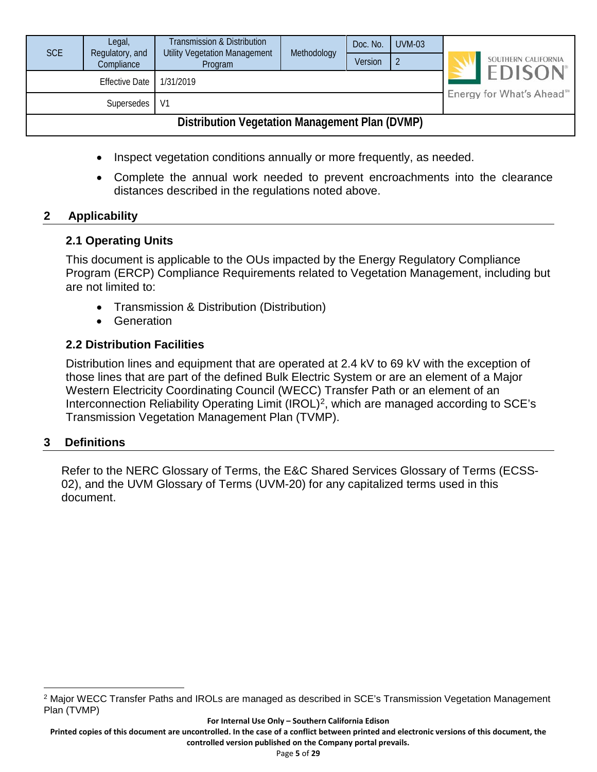| <b>SCE</b>                                     | Legal,<br>Regulatory, and | Transmission & Distribution<br><b>Utility Vegetation Management</b> |             | Doc. No. | <b>UVM-03</b> |  | SOUTHERN CALIFORNIA                  |  |
|------------------------------------------------|---------------------------|---------------------------------------------------------------------|-------------|----------|---------------|--|--------------------------------------|--|
|                                                | Compliance                | <b>Program</b>                                                      | Methodology | Version  |               |  |                                      |  |
| <b>Effective Date</b><br>1/31/2019             |                           |                                                                     |             |          | <b>EDISON</b> |  |                                      |  |
| Supersedes   V1                                |                           |                                                                     |             |          |               |  | Energy for What's Ahead <sup>®</sup> |  |
| Distribution Vegetation Management Plan (DVMP) |                           |                                                                     |             |          |               |  |                                      |  |

- Inspect vegetation conditions annually or more frequently, as needed.
- Complete the annual work needed to prevent encroachments into the clearance distances described in the regulations noted above.

#### <span id="page-4-1"></span><span id="page-4-0"></span>**2 Applicability**

#### **2.1 Operating Units**

This document is applicable to the OUs impacted by the Energy Regulatory Compliance Program (ERCP) Compliance Requirements related to Vegetation Management, including but are not limited to:

- Transmission & Distribution (Distribution)
- Generation

#### <span id="page-4-2"></span>**2.2 Distribution Facilities**

Distribution lines and equipment that are operated at 2.4 kV to 69 kV with the exception of those lines that are part of the defined Bulk Electric System or are an element of a Major Western Electricity Coordinating Council (WECC) Transfer Path or an element of an Interconnection Reliability Operating Limit (IROL)[2](#page-4-4), which are managed according to SCE's Transmission Vegetation Management Plan (TVMP).

#### <span id="page-4-3"></span>**3 Definitions**

 $\overline{a}$ 

Refer to the NERC Glossary of Terms, the E&C Shared Services Glossary of Terms (ECSS-02), and the UVM Glossary of Terms (UVM-20) for any capitalized terms used in this document.

**Printed copies of this document are uncontrolled. In the case of a conflict between printed and electronic versions of this document, the** 

<span id="page-4-4"></span><sup>&</sup>lt;sup>2</sup> Major WECC Transfer Paths and IROLs are managed as described in SCE's Transmission Vegetation Management Plan (TVMP)

**For Internal Use Only – Southern California Edison**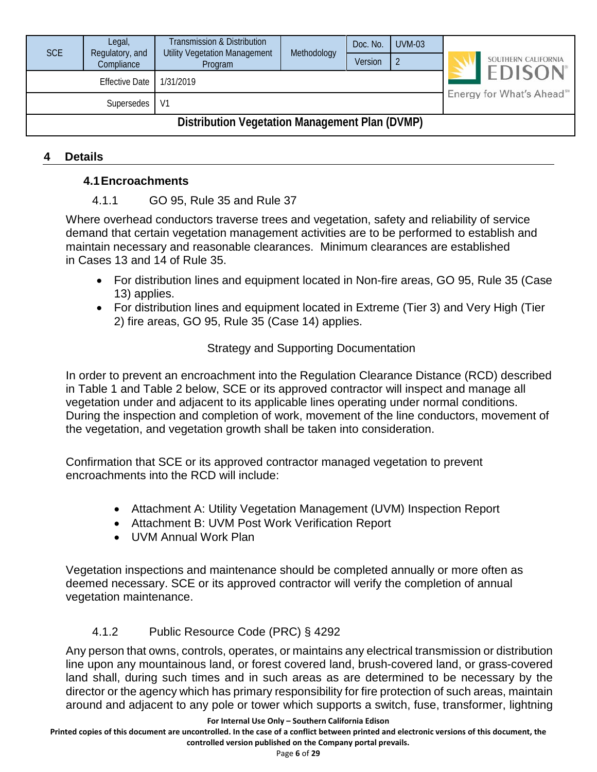| <b>SCE</b>                                     | Legal,     | Transmission & Distribution<br><b>Utility Vegetation Management</b><br>Regulatory, and | Methodology | Doc. No. | <b>UVM-03</b> |  |                                            |  |
|------------------------------------------------|------------|----------------------------------------------------------------------------------------|-------------|----------|---------------|--|--------------------------------------------|--|
|                                                | Compliance | Program                                                                                |             | Version  |               |  | SOUTHERN CALIFORNIA                        |  |
| <b>Effective Date</b><br>1/31/2019             |            |                                                                                        |             |          |               |  | <b>EDISON</b><br>Energy for What's Ahead*" |  |
| Supersedes   V1                                |            |                                                                                        |             |          |               |  |                                            |  |
| Distribution Vegetation Management Plan (DVMP) |            |                                                                                        |             |          |               |  |                                            |  |

#### <span id="page-5-0"></span>**4 Details**

#### <span id="page-5-1"></span>**4.1Encroachments**

#### 4.1.1 GO 95, Rule 35 and Rule 37

<span id="page-5-2"></span>Where overhead conductors traverse trees and vegetation, safety and reliability of service demand that certain vegetation management activities are to be performed to establish and maintain necessary and reasonable clearances. Minimum clearances are established in Cases 13 and 14 of Rule 35.

- For distribution lines and equipment located in Non-fire areas, GO 95, Rule 35 (Case 13) applies.
- For distribution lines and equipment located in Extreme (Tier 3) and Very High (Tier 2) fire areas, GO 95, Rule 35 (Case 14) applies.

#### Strategy and Supporting Documentation

In order to prevent an encroachment into the Regulation Clearance Distance (RCD) described in Table 1 and Table 2 below, SCE or its approved contractor will inspect and manage all vegetation under and adjacent to its applicable lines operating under normal conditions. During the inspection and completion of work, movement of the line conductors, movement of the vegetation, and vegetation growth shall be taken into consideration.

Confirmation that SCE or its approved contractor managed vegetation to prevent encroachments into the RCD will include:

- Attachment A: Utility Vegetation Management (UVM) Inspection Report
- Attachment B: UVM Post Work Verification Report
- UVM Annual Work Plan

Vegetation inspections and maintenance should be completed annually or more often as deemed necessary. SCE or its approved contractor will verify the completion of annual vegetation maintenance.

#### 4.1.2 Public Resource Code (PRC) § 4292

<span id="page-5-3"></span>Any person that owns, controls, operates, or maintains any electrical transmission or distribution line upon any mountainous land, or forest covered land, brush-covered land, or grass-covered land shall, during such times and in such areas as are determined to be necessary by the director or the agency which has primary responsibility for fire protection of such areas, maintain around and adjacent to any pole or tower which supports a switch, fuse, transformer, lightning

#### **For Internal Use Only – Southern California Edison**

**Printed copies of this document are uncontrolled. In the case of a conflict between printed and electronic versions of this document, the controlled version published on the Company portal prevails.**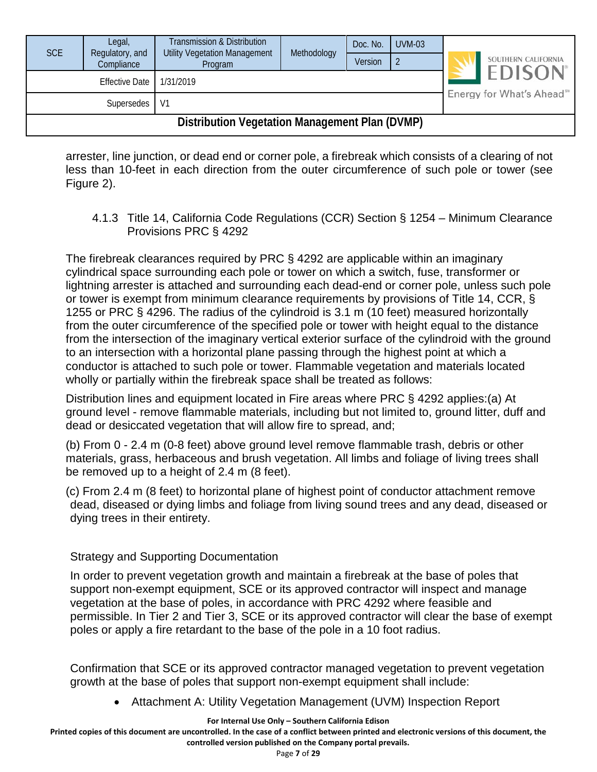| <b>SCE</b>                                     | Legal,<br>Regulatory, and<br>Compliance | Transmission & Distribution<br><b>Utility Vegetation Management</b><br>Program | Methodology | Doc. No.<br>Version | <b>UVM-03</b> |                           | SOUTHERN CALIFORNIA |  |
|------------------------------------------------|-----------------------------------------|--------------------------------------------------------------------------------|-------------|---------------------|---------------|---------------------------|---------------------|--|
|                                                |                                         |                                                                                |             |                     |               |                           | <b>EDISON</b>       |  |
| <b>Effective Date</b><br>1/31/2019             |                                         |                                                                                |             |                     |               | Energy for What's Ahead*" |                     |  |
| - V1<br>Supersedes                             |                                         |                                                                                |             |                     |               |                           |                     |  |
| Distribution Vegetation Management Plan (DVMP) |                                         |                                                                                |             |                     |               |                           |                     |  |

arrester, line junction, or dead end or corner pole, a firebreak which consists of a clearing of not less than 10-feet in each direction from the outer circumference of such pole or tower (see Figure 2).

#### <span id="page-6-0"></span>4.1.3 Title 14, California Code Regulations (CCR) Section § 1254 – Minimum Clearance Provisions PRC § 4292

The firebreak clearances required by PRC § 4292 are applicable within an imaginary cylindrical space surrounding each pole or tower on which a switch, fuse, transformer or lightning arrester is attached and surrounding each dead-end or corner pole, unless such pole or tower is exempt from minimum clearance requirements by provisions of Title 14, CCR, § 1255 or PRC § 4296. The radius of the cylindroid is 3.1 m (10 feet) measured horizontally from the outer circumference of the specified pole or tower with height equal to the distance from the intersection of the imaginary vertical exterior surface of the cylindroid with the ground to an intersection with a horizontal plane passing through the highest point at which a conductor is attached to such pole or tower. Flammable vegetation and materials located wholly or partially within the firebreak space shall be treated as follows:

Distribution lines and equipment located in Fire areas where PRC § 4292 applies:(a) At ground level - remove flammable materials, including but not limited to, ground litter, duff and dead or desiccated vegetation that will allow fire to spread, and;

(b) From 0 - 2.4 m (0-8 feet) above ground level remove flammable trash, debris or other materials, grass, herbaceous and brush vegetation. All limbs and foliage of living trees shall be removed up to a height of 2.4 m (8 feet).

(c) From 2.4 m (8 feet) to horizontal plane of highest point of conductor attachment remove dead, diseased or dying limbs and foliage from living sound trees and any dead, diseased or dying trees in their entirety.

#### Strategy and Supporting Documentation

In order to prevent vegetation growth and maintain a firebreak at the base of poles that support non-exempt equipment, SCE or its approved contractor will inspect and manage vegetation at the base of poles, in accordance with PRC 4292 where feasible and permissible. In Tier 2 and Tier 3, SCE or its approved contractor will clear the base of exempt poles or apply a fire retardant to the base of the pole in a 10 foot radius.

Confirmation that SCE or its approved contractor managed vegetation to prevent vegetation growth at the base of poles that support non-exempt equipment shall include:

• Attachment A: Utility Vegetation Management (UVM) Inspection Report

**For Internal Use Only – Southern California Edison**

**Printed copies of this document are uncontrolled. In the case of a conflict between printed and electronic versions of this document, the**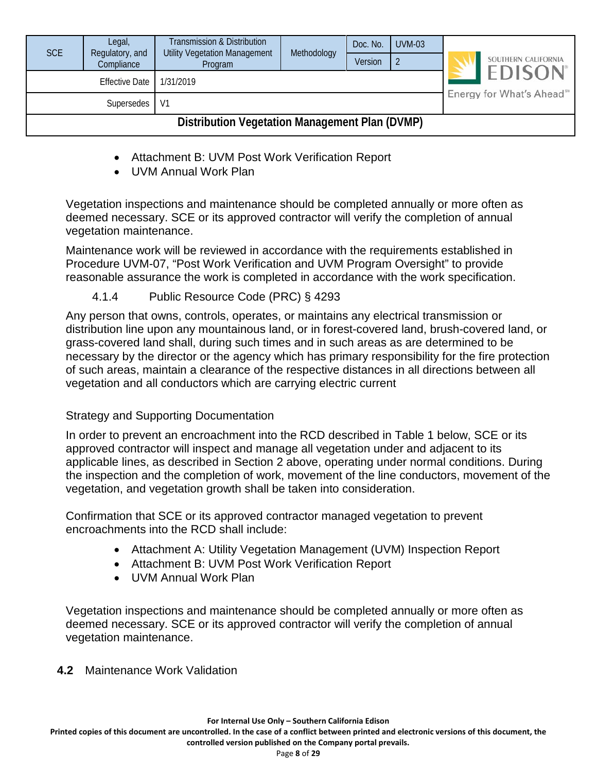| <b>SCE</b>                         | Legal,<br>Regulatory, and                      | Transmission & Distribution<br><b>Utility Vegetation Management</b> |             | Doc. No. | $UVM-03$ |                                      |  |  |  |
|------------------------------------|------------------------------------------------|---------------------------------------------------------------------|-------------|----------|----------|--------------------------------------|--|--|--|
|                                    | Compliance                                     | Program                                                             | Methodology | Version  |          | SOUTHERN CALIFORNIA<br><b>EDISON</b> |  |  |  |
| 1/31/2019<br><b>Effective Date</b> |                                                |                                                                     |             |          |          |                                      |  |  |  |
|                                    | Supersedes                                     | Energy for What's Ahead <sup>®</sup>                                |             |          |          |                                      |  |  |  |
|                                    | Distribution Vegetation Management Plan (DVMP) |                                                                     |             |          |          |                                      |  |  |  |

- Attachment B: UVM Post Work Verification Report
- UVM Annual Work Plan

Vegetation inspections and maintenance should be completed annually or more often as deemed necessary. SCE or its approved contractor will verify the completion of annual vegetation maintenance.

Maintenance work will be reviewed in accordance with the requirements established in Procedure UVM-07, "Post Work Verification and UVM Program Oversight" to provide reasonable assurance the work is completed in accordance with the work specification.

#### 4.1.4 Public Resource Code (PRC) § 4293

<span id="page-7-0"></span>Any person that owns, controls, operates, or maintains any electrical transmission or distribution line upon any mountainous land, or in forest-covered land, brush-covered land, or grass-covered land shall, during such times and in such areas as are determined to be necessary by the director or the agency which has primary responsibility for the fire protection of such areas, maintain a clearance of the respective distances in all directions between all vegetation and all conductors which are carrying electric current

#### Strategy and Supporting Documentation

In order to prevent an encroachment into the RCD described in Table 1 below, SCE or its approved contractor will inspect and manage all vegetation under and adjacent to its applicable lines, as described in Section 2 above, operating under normal conditions. During the inspection and the completion of work, movement of the line conductors, movement of the vegetation, and vegetation growth shall be taken into consideration.

Confirmation that SCE or its approved contractor managed vegetation to prevent encroachments into the RCD shall include:

- Attachment A: Utility Vegetation Management (UVM) Inspection Report
- Attachment B: UVM Post Work Verification Report
- UVM Annual Work Plan

Vegetation inspections and maintenance should be completed annually or more often as deemed necessary. SCE or its approved contractor will verify the completion of annual vegetation maintenance.

#### **4.2** Maintenance Work Validation

**For Internal Use Only – Southern California Edison**

**Printed copies of this document are uncontrolled. In the case of a conflict between printed and electronic versions of this document, the**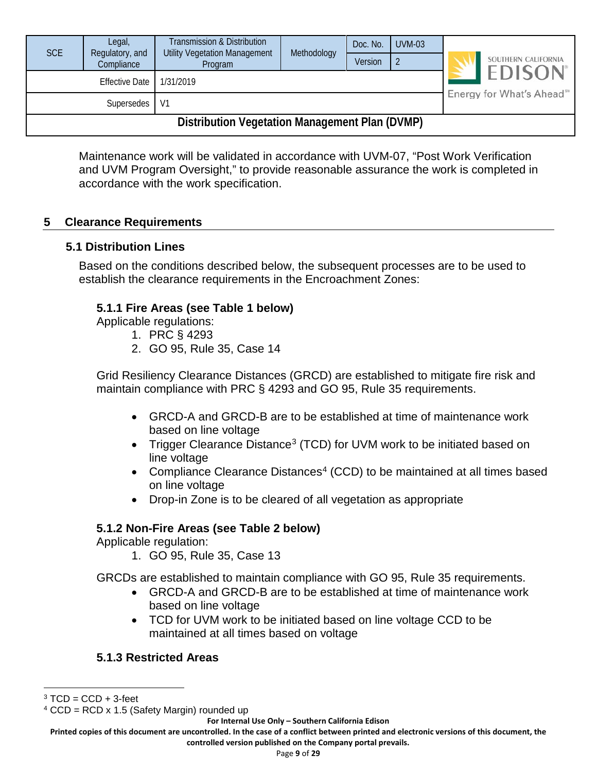| <b>SCE</b>                         | Legal,<br>Regulatory, and                      | Transmission & Distribution<br><b>Utility Vegetation Management</b> | Methodology | Doc. No. | <b>UVM-03</b> |  |                                                       |  |  |
|------------------------------------|------------------------------------------------|---------------------------------------------------------------------|-------------|----------|---------------|--|-------------------------------------------------------|--|--|
|                                    | Compliance                                     | <b>Program</b>                                                      |             | Version  |               |  | SOUTHERN CALIFORNIA                                   |  |  |
| <b>Effective Date</b><br>1/31/2019 |                                                |                                                                     |             |          |               |  | <b>EDISON</b><br>Energy for What's Ahead <sup>®</sup> |  |  |
| - V1<br>Supersedes                 |                                                |                                                                     |             |          |               |  |                                                       |  |  |
|                                    | Distribution Vegetation Management Plan (DVMP) |                                                                     |             |          |               |  |                                                       |  |  |

Maintenance work will be validated in accordance with UVM-07, "Post Work Verification and UVM Program Oversight," to provide reasonable assurance the work is completed in accordance with the work specification.

#### <span id="page-8-1"></span><span id="page-8-0"></span>**5 Clearance Requirements**

#### **5.1 Distribution Lines**

<span id="page-8-2"></span>Based on the conditions described below, the subsequent processes are to be used to establish the clearance requirements in the Encroachment Zones:

#### **5.1.1 Fire Areas (see Table 1 below)**

Applicable regulations:

- 1. PRC § 4293
- 2. GO 95, Rule 35, Case 14

Grid Resiliency Clearance Distances (GRCD) are established to mitigate fire risk and maintain compliance with PRC § 4293 and GO 95, Rule 35 requirements.

- GRCD-A and GRCD-B are to be established at time of maintenance work based on line voltage
- Trigger Clearance Distance<sup>[3](#page-8-5)</sup> (TCD) for UVM work to be initiated based on line voltage
- Compliance Clearance Distances<sup>[4](#page-8-6)</sup> (CCD) to be maintained at all times based on line voltage
- Drop-in Zone is to be cleared of all vegetation as appropriate

#### <span id="page-8-3"></span>**5.1.2 Non-Fire Areas (see Table 2 below)**

Applicable regulation:

1. GO 95, Rule 35, Case 13

GRCDs are established to maintain compliance with GO 95, Rule 35 requirements.

- GRCD-A and GRCD-B are to be established at time of maintenance work based on line voltage
- TCD for UVM work to be initiated based on line voltage CCD to be maintained at all times based on voltage

#### **5.1.3 Restricted Areas**

<span id="page-8-4"></span> $\overline{a}$ 

**Printed copies of this document are uncontrolled. In the case of a conflict between printed and electronic versions of this document, the** 

<span id="page-8-5"></span> $3$  TCD = CCD + 3-feet

<span id="page-8-6"></span> $4$  CCD = RCD x 1.5 (Safety Margin) rounded up

**For Internal Use Only – Southern California Edison**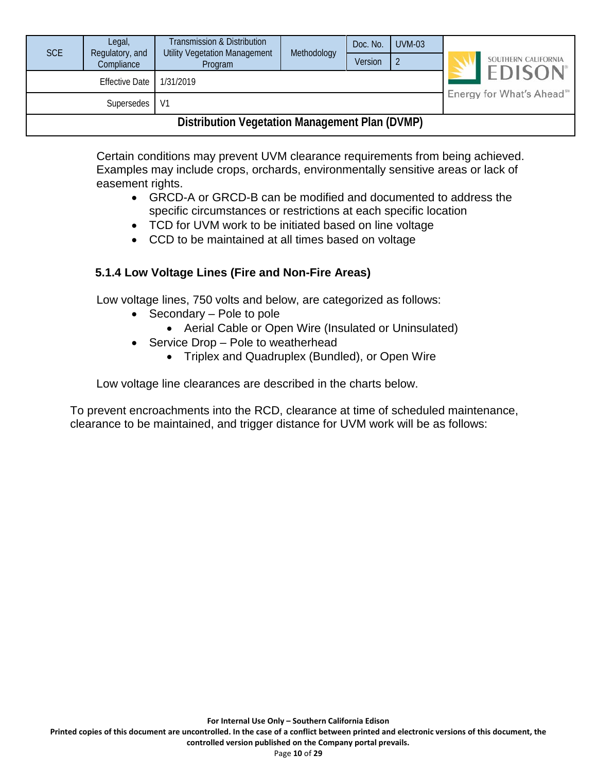| <b>SCE</b>                                     | Legal,<br>Regulatory, and | Transmission & Distribution<br><b>Utility Vegetation Management</b> |             | Doc. No. | <b>UVM-03</b> |               |                                      |  |
|------------------------------------------------|---------------------------|---------------------------------------------------------------------|-------------|----------|---------------|---------------|--------------------------------------|--|
|                                                | Compliance                | Program                                                             | Methodology | Version  |               |               | SOUTHERN CALIFORNIA                  |  |
| <b>Effective Date</b><br>1/31/2019             |                           |                                                                     |             |          |               | <b>EDISON</b> |                                      |  |
| Supersedes V1                                  |                           |                                                                     |             |          |               |               | Energy for What's Ahead <sup>®</sup> |  |
| Distribution Vegetation Management Plan (DVMP) |                           |                                                                     |             |          |               |               |                                      |  |

Certain conditions may prevent UVM clearance requirements from being achieved. Examples may include crops, orchards, environmentally sensitive areas or lack of easement rights.

- GRCD-A or GRCD-B can be modified and documented to address the specific circumstances or restrictions at each specific location
- TCD for UVM work to be initiated based on line voltage
- CCD to be maintained at all times based on voltage

#### <span id="page-9-0"></span> **5.1.4 Low Voltage Lines (Fire and Non-Fire Areas)**

Low voltage lines, 750 volts and below, are categorized as follows:

- Secondary Pole to pole
	- Aerial Cable or Open Wire (Insulated or Uninsulated)
- Service Drop Pole to weatherhead
	- Triplex and Quadruplex (Bundled), or Open Wire

Low voltage line clearances are described in the charts below.

To prevent encroachments into the RCD, clearance at time of scheduled maintenance, clearance to be maintained, and trigger distance for UVM work will be as follows: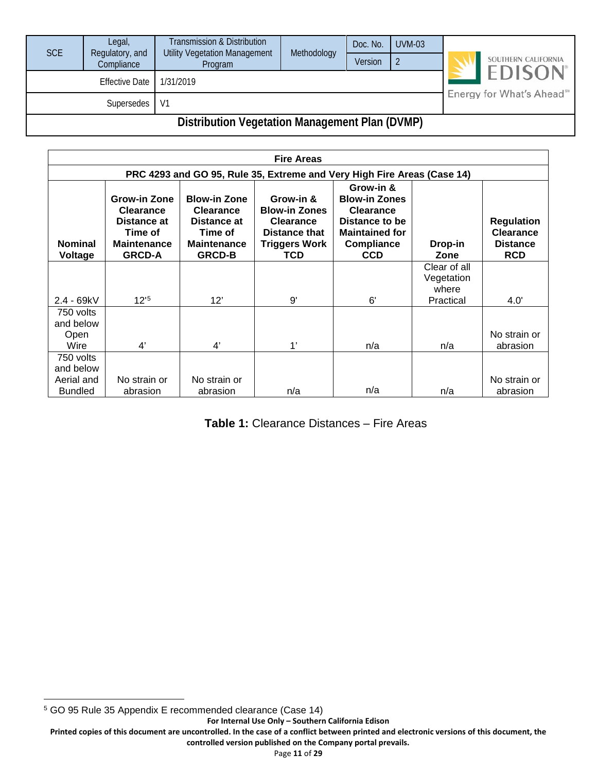| <b>SCE</b>                                     | Legal,<br>Regulatory, and | Transmission & Distribution<br><b>Utility Vegetation Management</b> | Methodology | Doc. No. | <b>UVM-03</b> |               | SOUTHERN CALIFORNIA       |  |
|------------------------------------------------|---------------------------|---------------------------------------------------------------------|-------------|----------|---------------|---------------|---------------------------|--|
|                                                | Compliance                | <b>Program</b>                                                      |             | Version  |               |               |                           |  |
| <b>Effective Date</b><br>1/31/2019             |                           |                                                                     |             |          |               | <b>EDISON</b> |                           |  |
| Supersedes   V1                                |                           |                                                                     |             |          |               |               | Energy for What's Ahead*" |  |
| Distribution Vegetation Management Plan (DVMP) |                           |                                                                     |             |          |               |               |                           |  |

|                                                        | <b>Fire Areas</b>                                                                                 |                                                                                                          |                                                                                                        |                                                                                                                                     |                                                  |                                                                        |  |  |  |  |  |
|--------------------------------------------------------|---------------------------------------------------------------------------------------------------|----------------------------------------------------------------------------------------------------------|--------------------------------------------------------------------------------------------------------|-------------------------------------------------------------------------------------------------------------------------------------|--------------------------------------------------|------------------------------------------------------------------------|--|--|--|--|--|
|                                                        | PRC 4293 and GO 95, Rule 35, Extreme and Very High Fire Areas (Case 14)                           |                                                                                                          |                                                                                                        |                                                                                                                                     |                                                  |                                                                        |  |  |  |  |  |
| <b>Nominal</b><br>Voltage                              | Grow-in Zone<br><b>Clearance</b><br>Distance at<br>Time of<br><b>Maintenance</b><br><b>GRCD-A</b> | <b>Blow-in Zone</b><br><b>Clearance</b><br>Distance at<br>Time of<br><b>Maintenance</b><br><b>GRCD-B</b> | Grow-in &<br><b>Blow-in Zones</b><br><b>Clearance</b><br>Distance that<br><b>Triggers Work</b><br>TCD. | Grow-in &<br><b>Blow-in Zones</b><br><b>Clearance</b><br>Distance to be<br><b>Maintained for</b><br><b>Compliance</b><br><b>CCD</b> | Drop-in<br>Zone                                  | <b>Regulation</b><br><b>Clearance</b><br><b>Distance</b><br><b>RCD</b> |  |  |  |  |  |
| $2.4 - 69kV$                                           | $12'$ <sup>5</sup>                                                                                | 12'                                                                                                      | 9'                                                                                                     | 6'                                                                                                                                  | Clear of all<br>Vegetation<br>where<br>Practical | 4.0'                                                                   |  |  |  |  |  |
| 750 volts<br>and below<br>Open<br>Wire                 | $4^{\prime}$                                                                                      | 4'                                                                                                       | 1'                                                                                                     | n/a                                                                                                                                 | n/a                                              | No strain or<br>abrasion                                               |  |  |  |  |  |
| 750 volts<br>and below<br>Aerial and<br><b>Bundled</b> | No strain or<br>abrasion                                                                          | No strain or<br>abrasion                                                                                 | n/a                                                                                                    | n/a                                                                                                                                 | n/a                                              | No strain or<br>abrasion                                               |  |  |  |  |  |

**Table 1:** Clearance Distances – Fire Areas

<span id="page-10-0"></span><sup>5</sup> GO 95 Rule 35 Appendix E recommended clearance (Case 14)  $\overline{a}$ 

**For Internal Use Only – Southern California Edison**

**Printed copies of this document are uncontrolled. In the case of a conflict between printed and electronic versions of this document, the**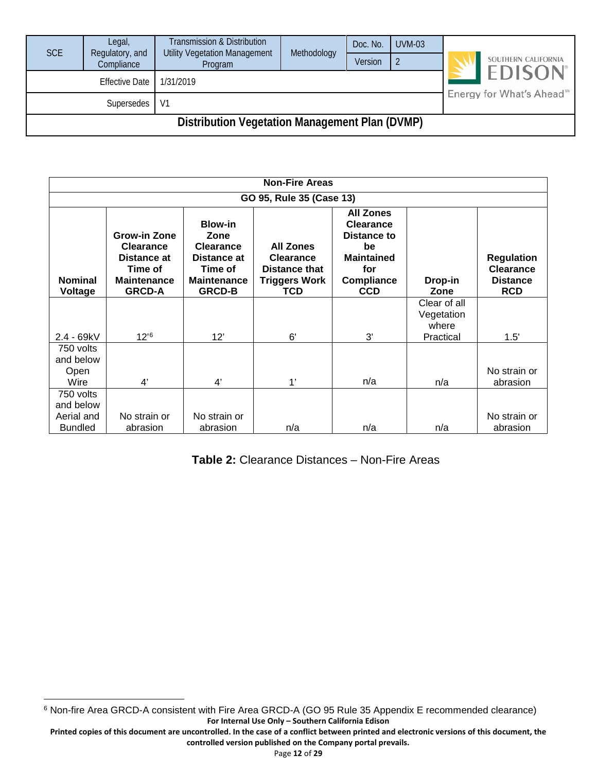| <b>SCE</b>                         | Legal,<br>Regulatory, and                      | Transmission & Distribution<br><b>Utility Vegetation Management</b> | Methodology |         | <b>UVM-03</b> |  |                                                       |  |  |
|------------------------------------|------------------------------------------------|---------------------------------------------------------------------|-------------|---------|---------------|--|-------------------------------------------------------|--|--|
|                                    | Compliance                                     | Program                                                             |             | Version |               |  | SOUTHERN CALIFORNIA                                   |  |  |
| <b>Effective Date</b><br>1/31/2019 |                                                |                                                                     |             |         |               |  | <b>EDISON</b><br>Energy for What's Ahead <sup>®</sup> |  |  |
| Supersedes   V1                    |                                                |                                                                     |             |         |               |  |                                                       |  |  |
|                                    | Distribution Vegetation Management Plan (DVMP) |                                                                     |             |         |               |  |                                                       |  |  |

|                                                        | <b>Non-Fire Areas</b>                                                                                    |                                                                                                             |                                                                                                    |                                                                                                                                 |                                                  |                                                                        |  |  |  |  |  |
|--------------------------------------------------------|----------------------------------------------------------------------------------------------------------|-------------------------------------------------------------------------------------------------------------|----------------------------------------------------------------------------------------------------|---------------------------------------------------------------------------------------------------------------------------------|--------------------------------------------------|------------------------------------------------------------------------|--|--|--|--|--|
|                                                        |                                                                                                          |                                                                                                             | GO 95, Rule 35 (Case 13)                                                                           |                                                                                                                                 |                                                  |                                                                        |  |  |  |  |  |
| <b>Nominal</b><br>Voltage                              | <b>Grow-in Zone</b><br><b>Clearance</b><br>Distance at<br>Time of<br><b>Maintenance</b><br><b>GRCD-A</b> | <b>Blow-in</b><br>Zone<br><b>Clearance</b><br>Distance at<br>Time of<br><b>Maintenance</b><br><b>GRCD-B</b> | <b>All Zones</b><br><b>Clearance</b><br><b>Distance that</b><br><b>Triggers Work</b><br><b>TCD</b> | <b>All Zones</b><br><b>Clearance</b><br><b>Distance to</b><br>be<br><b>Maintained</b><br>for<br><b>Compliance</b><br><b>CCD</b> | Drop-in<br>Zone                                  | <b>Regulation</b><br><b>Clearance</b><br><b>Distance</b><br><b>RCD</b> |  |  |  |  |  |
| $2.4 - 69kV$                                           | $12^{6}$                                                                                                 | 12'                                                                                                         | 6'                                                                                                 | 3'                                                                                                                              | Clear of all<br>Vegetation<br>where<br>Practical | 1.5'                                                                   |  |  |  |  |  |
| 750 volts<br>and below<br>Open<br>Wire                 | $4^{\prime}$                                                                                             | 4'                                                                                                          | 1'                                                                                                 | n/a                                                                                                                             | n/a                                              | No strain or<br>abrasion                                               |  |  |  |  |  |
| 750 volts<br>and below<br>Aerial and<br><b>Bundled</b> | No strain or<br>abrasion                                                                                 | No strain or<br>abrasion                                                                                    | n/a                                                                                                | n/a                                                                                                                             | n/a                                              | No strain or<br>abrasion                                               |  |  |  |  |  |

**Table 2:** Clearance Distances – Non-Fire Areas

 $\overline{a}$ 

<span id="page-11-0"></span> $^6$  Non-fire Area GRCD-A consistent with Fire Area GRCD-A (GO 95 Rule 35 Appendix E recommended clearance) **For Internal Use Only – Southern California Edison**

**Printed copies of this document are uncontrolled. In the case of a conflict between printed and electronic versions of this document, the controlled version published on the Company portal prevails.**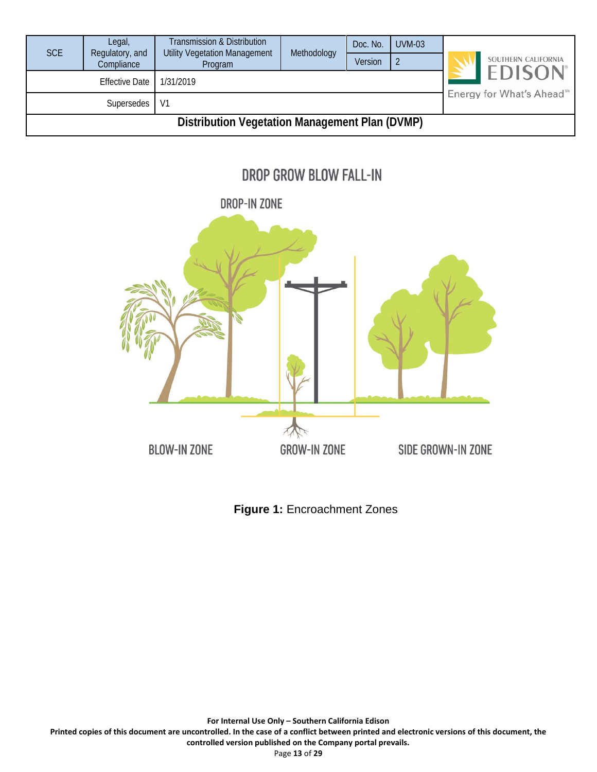| <b>SCE</b>                                     | Transmission & Distribution<br>Legal,<br><b>Utility Vegetation Management</b><br>Regulatory, and |         | Methodology | Doc. No. | <b>UVM-03</b> |        |                                      |  |  |
|------------------------------------------------|--------------------------------------------------------------------------------------------------|---------|-------------|----------|---------------|--------|--------------------------------------|--|--|
|                                                | Compliance                                                                                       | Program |             | Version  |               |        | SOUTHERN CALIFORNIA                  |  |  |
| <b>Effective Date</b><br>1/31/2019             |                                                                                                  |         |             |          |               | EDISON |                                      |  |  |
| Supersedes V1                                  |                                                                                                  |         |             |          |               |        | Energy for What's Ahead <sup>®</sup> |  |  |
| Distribution Vegetation Management Plan (DVMP) |                                                                                                  |         |             |          |               |        |                                      |  |  |

DROP GROW BLOW FALL-IN



**Figure 1:** Encroachment Zones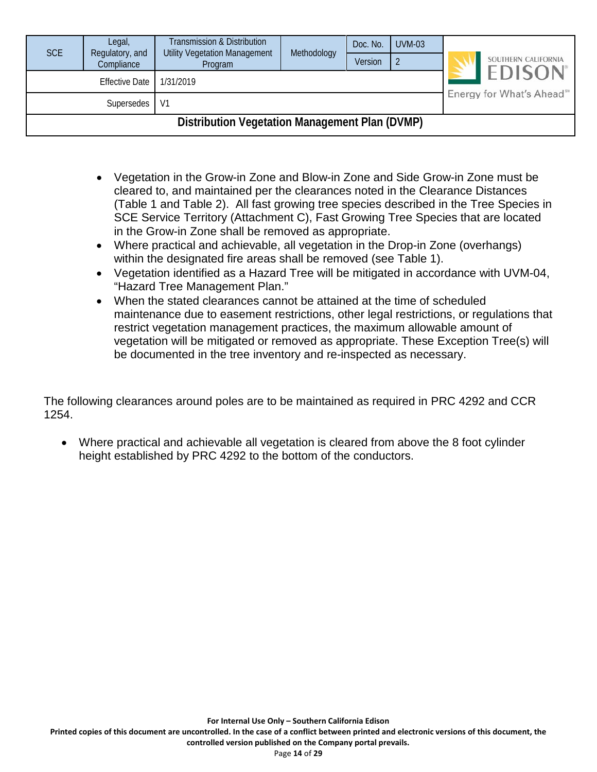| <b>SCE</b>                                     | Legal,<br>Regulatory, and | Transmission & Distribution<br><b>Utility Vegetation Management</b> | Methodology | Doc. No. | $UVM-03$ |  |                                      |  |  |
|------------------------------------------------|---------------------------|---------------------------------------------------------------------|-------------|----------|----------|--|--------------------------------------|--|--|
|                                                | Compliance                | Program                                                             |             | Version  |          |  | SOUTHERN CALIFORNIA                  |  |  |
| <b>Effective Date</b><br>1/31/2019             |                           |                                                                     |             |          |          |  | <b>EDISON</b>                        |  |  |
| Supersedes   V1                                |                           |                                                                     |             |          |          |  | Energy for What's Ahead <sup>®</sup> |  |  |
| Distribution Vegetation Management Plan (DVMP) |                           |                                                                     |             |          |          |  |                                      |  |  |

- Vegetation in the Grow-in Zone and Blow-in Zone and Side Grow-in Zone must be cleared to, and maintained per the clearances noted in the Clearance Distances (Table 1 and Table 2). All fast growing tree species described in the Tree Species in SCE Service Territory (Attachment C), Fast Growing Tree Species that are located in the Grow-in Zone shall be removed as appropriate.
- Where practical and achievable, all vegetation in the Drop-in Zone (overhangs) within the designated fire areas shall be removed (see Table 1).
- Vegetation identified as a Hazard Tree will be mitigated in accordance with UVM-04, "Hazard Tree Management Plan."
- When the stated clearances cannot be attained at the time of scheduled maintenance due to easement restrictions, other legal restrictions, or regulations that restrict vegetation management practices, the maximum allowable amount of vegetation will be mitigated or removed as appropriate. These Exception Tree(s) will be documented in the tree inventory and re-inspected as necessary.

The following clearances around poles are to be maintained as required in PRC 4292 and CCR 1254.

• Where practical and achievable all vegetation is cleared from above the 8 foot cylinder height established by PRC 4292 to the bottom of the conductors.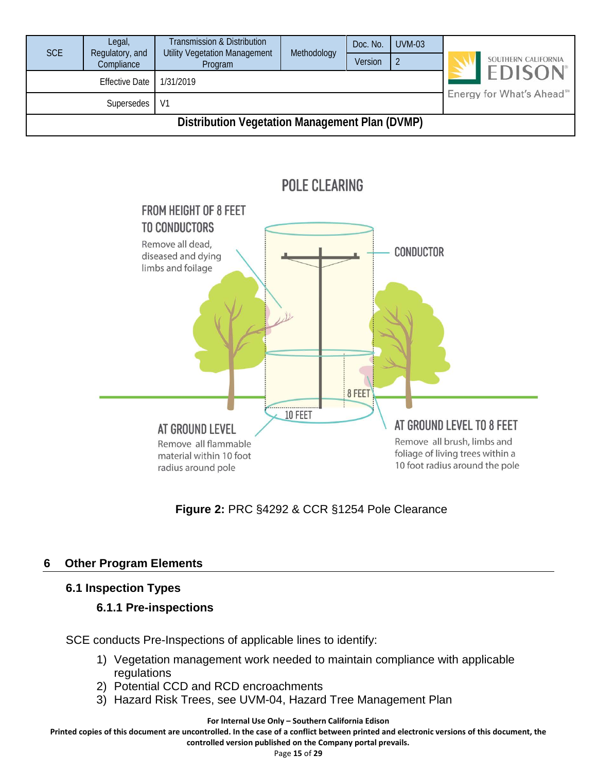| <b>SCE</b>                                     | Legal,<br>Regulatory, and | Transmission & Distribution<br><b>Utility Vegetation Management</b> | Methodology | Doc. No. | <b>UVM-03</b> |  |                                      |  |
|------------------------------------------------|---------------------------|---------------------------------------------------------------------|-------------|----------|---------------|--|--------------------------------------|--|
|                                                | Compliance                | Program                                                             |             | Version  |               |  | SOUTHERN CALIFORNIA                  |  |
| <b>Effective Date</b><br>1/31/2019             |                           |                                                                     |             |          |               |  | <b>EDISON</b>                        |  |
| Supersedes   V1                                |                           |                                                                     |             |          |               |  | Energy for What's Ahead <sup>®</sup> |  |
| Distribution Vegetation Management Plan (DVMP) |                           |                                                                     |             |          |               |  |                                      |  |



**POLE CLEARING** 

**Figure 2:** PRC §4292 & CCR §1254 Pole Clearance

#### <span id="page-14-1"></span><span id="page-14-0"></span>**6 Other Program Elements**

#### <span id="page-14-2"></span>**6.1 Inspection Types**

#### **6.1.1 Pre-inspections**

SCE conducts Pre-Inspections of applicable lines to identify:

- 1) Vegetation management work needed to maintain compliance with applicable regulations
- 2) Potential CCD and RCD encroachments
- 3) Hazard Risk Trees, see UVM-04, Hazard Tree Management Plan

**For Internal Use Only – Southern California Edison**

**Printed copies of this document are uncontrolled. In the case of a conflict between printed and electronic versions of this document, the**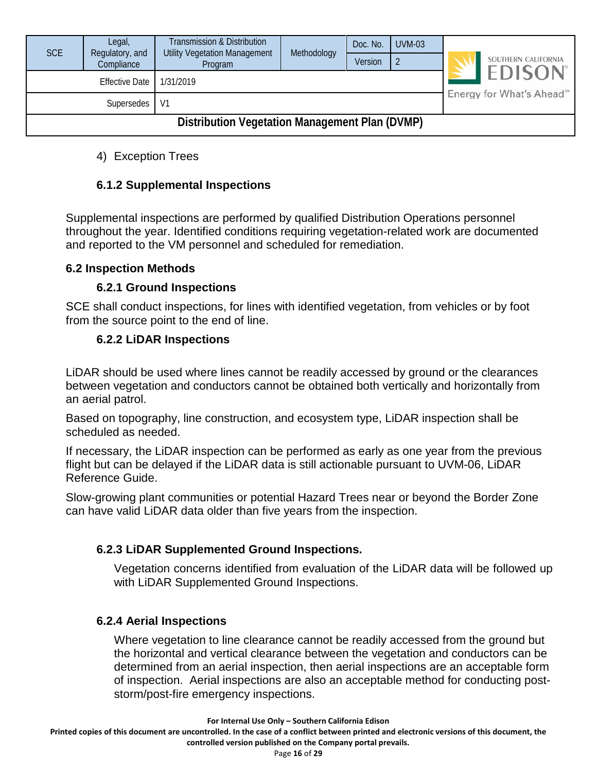| <b>SCE</b>                                     | Legal,<br>Regulatory, and | Transmission & Distribution<br><b>Utility Vegetation Management</b> | Methodology | Doc. No. | <b>UVM-03</b> |  |                                      |  |
|------------------------------------------------|---------------------------|---------------------------------------------------------------------|-------------|----------|---------------|--|--------------------------------------|--|
|                                                | Compliance                | Program                                                             |             | Version  |               |  | SOUTHERN CALIFORNIA                  |  |
| 1/31/2019<br><b>Effective Date</b>             |                           |                                                                     |             |          |               |  | <b>EDISON</b>                        |  |
| Supersedes<br>- V1                             |                           |                                                                     |             |          |               |  | Energy for What's Ahead <sup>®</sup> |  |
| Distribution Vegetation Management Plan (DVMP) |                           |                                                                     |             |          |               |  |                                      |  |

#### 4) Exception Trees

#### **6.1.2 Supplemental Inspections**

<span id="page-15-0"></span>Supplemental inspections are performed by qualified Distribution Operations personnel throughout the year. Identified conditions requiring vegetation-related work are documented and reported to the VM personnel and scheduled for remediation.

#### <span id="page-15-2"></span><span id="page-15-1"></span>**6.2 Inspection Methods**

#### **6.2.1 Ground Inspections**

<span id="page-15-3"></span>SCE shall conduct inspections, for lines with identified vegetation, from vehicles or by foot from the source point to the end of line.

#### **6.2.2 LiDAR Inspections**

LiDAR should be used where lines cannot be readily accessed by ground or the clearances between vegetation and conductors cannot be obtained both vertically and horizontally from an aerial patrol.

Based on topography, line construction, and ecosystem type, LiDAR inspection shall be scheduled as needed.

If necessary, the LiDAR inspection can be performed as early as one year from the previous flight but can be delayed if the LiDAR data is still actionable pursuant to UVM-06, LiDAR Reference Guide.

Slow-growing plant communities or potential Hazard Trees near or beyond the Border Zone can have valid LiDAR data older than five years from the inspection.

#### <span id="page-15-4"></span>**6.2.3 LiDAR Supplemented Ground Inspections.**

Vegetation concerns identified from evaluation of the LiDAR data will be followed up with LiDAR Supplemented Ground Inspections.

#### <span id="page-15-5"></span>**6.2.4 Aerial Inspections**

Where vegetation to line clearance cannot be readily accessed from the ground but the horizontal and vertical clearance between the vegetation and conductors can be determined from an aerial inspection, then aerial inspections are an acceptable form of inspection. Aerial inspections are also an acceptable method for conducting poststorm/post-fire emergency inspections.

**For Internal Use Only – Southern California Edison**

**Printed copies of this document are uncontrolled. In the case of a conflict between printed and electronic versions of this document, the**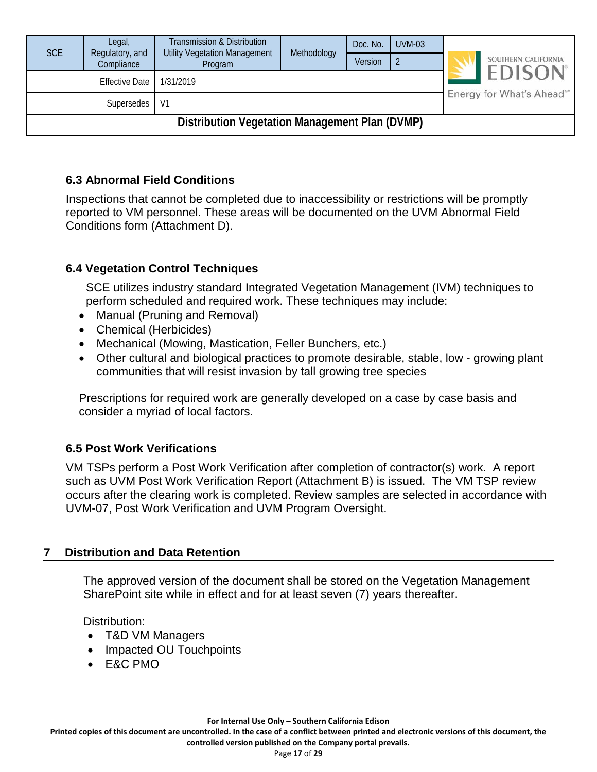| <b>SCE</b>                                     | Legal,                        | Transmission & Distribution                     |             | Doc. No. | <b>UVM-03</b> |  |                                                       |  |
|------------------------------------------------|-------------------------------|-------------------------------------------------|-------------|----------|---------------|--|-------------------------------------------------------|--|
|                                                | Regulatory, and<br>Compliance | <b>Utility Vegetation Management</b><br>Program | Methodology | Version  |               |  | SOUTHERN CALIFORNIA                                   |  |
| <b>Effective Date</b><br>1/31/2019             |                               |                                                 |             |          |               |  | <b>EDISON</b><br>Energy for What's Ahead <sup>®</sup> |  |
| <b>V1</b><br>Supersedes                        |                               |                                                 |             |          |               |  |                                                       |  |
| Distribution Vegetation Management Plan (DVMP) |                               |                                                 |             |          |               |  |                                                       |  |

#### <span id="page-16-0"></span>**6.3 Abnormal Field Conditions**

Inspections that cannot be completed due to inaccessibility or restrictions will be promptly reported to VM personnel. These areas will be documented on the UVM Abnormal Field Conditions form (Attachment D).

#### <span id="page-16-1"></span>**6.4 Vegetation Control Techniques**

SCE utilizes industry standard Integrated Vegetation Management (IVM) techniques to perform scheduled and required work. These techniques may include:

- Manual (Pruning and Removal)
- Chemical (Herbicides)
- Mechanical (Mowing, Mastication, Feller Bunchers, etc.)
- Other cultural and biological practices to promote desirable, stable, low growing plant communities that will resist invasion by tall growing tree species

Prescriptions for required work are generally developed on a case by case basis and consider a myriad of local factors.

#### <span id="page-16-2"></span>**6.5 Post Work Verifications**

VM TSPs perform a Post Work Verification after completion of contractor(s) work. A report such as UVM Post Work Verification Report (Attachment B) is issued. The VM TSP review occurs after the clearing work is completed. Review samples are selected in accordance with UVM-07, Post Work Verification and UVM Program Oversight.

#### <span id="page-16-3"></span>**7 Distribution and Data Retention**

The approved version of the document shall be stored on the Vegetation Management SharePoint site while in effect and for at least seven (7) years thereafter.

Distribution:

- T&D VM Managers
- Impacted OU Touchpoints
- E&C PMO

**For Internal Use Only – Southern California Edison**

**Printed copies of this document are uncontrolled. In the case of a conflict between printed and electronic versions of this document, the**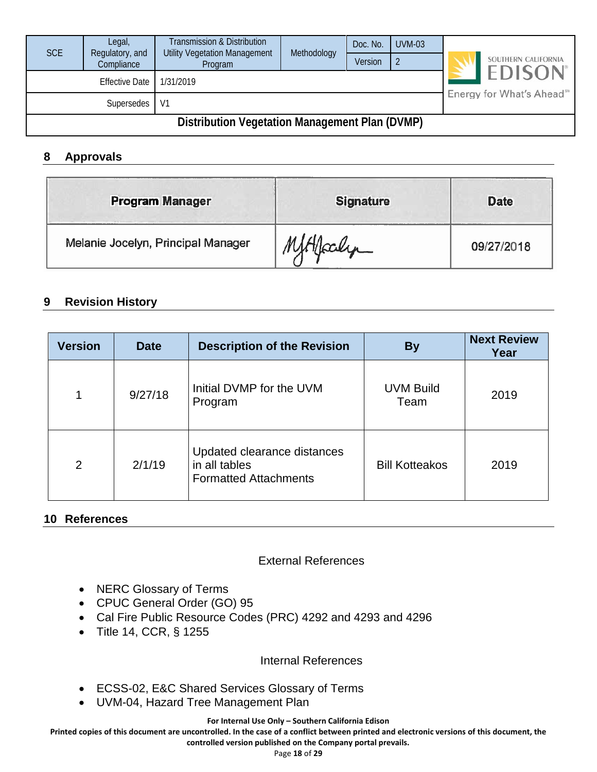| <b>SCE</b>                         | Legal,<br>Regulatory, and                      | Transmission & Distribution<br><b>Utility Vegetation Management</b> | Methodology | Doc. No. | <b>UVM-03</b> |  |                                                       |  |  |
|------------------------------------|------------------------------------------------|---------------------------------------------------------------------|-------------|----------|---------------|--|-------------------------------------------------------|--|--|
|                                    | Compliance                                     | Program                                                             |             | Version  |               |  | SOUTHERN CALIFORNIA                                   |  |  |
| <b>Effective Date</b><br>1/31/2019 |                                                |                                                                     |             |          |               |  | <b>EDISON</b><br>Energy for What's Ahead <sup>®</sup> |  |  |
| Supersedes   V1                    |                                                |                                                                     |             |          |               |  |                                                       |  |  |
|                                    | Distribution Vegetation Management Plan (DVMP) |                                                                     |             |          |               |  |                                                       |  |  |

#### <span id="page-17-0"></span>**8 Approvals**

| <b>Program Manager</b>             | <b>Signature</b> | <b>Date</b> |
|------------------------------------|------------------|-------------|
| Melanie Jocelyn, Principal Manager | withway          | 09/27/2018  |

#### <span id="page-17-1"></span>**9 Revision History**

| <b>Version</b> | <b>Date</b> | <b>Description of the Revision</b>                                           | <b>By</b>                | <b>Next Review</b><br>Year |
|----------------|-------------|------------------------------------------------------------------------------|--------------------------|----------------------------|
| 1              | 9/27/18     | Initial DVMP for the UVM<br>Program                                          | <b>UVM Build</b><br>Team | 2019                       |
| 2              | 2/1/19      | Updated clearance distances<br>in all tables<br><b>Formatted Attachments</b> | <b>Bill Kotteakos</b>    | 2019                       |

#### <span id="page-17-2"></span>**10 References**

#### External References

- NERC Glossary of Terms
- CPUC General Order (GO) 95
- Cal Fire Public Resource Codes (PRC) 4292 and 4293 and 4296
- Title 14, CCR, § 1255

#### Internal References

- ECSS-02, E&C Shared Services Glossary of Terms
- UVM-04, Hazard Tree Management Plan

#### **For Internal Use Only – Southern California Edison**

**Printed copies of this document are uncontrolled. In the case of a conflict between printed and electronic versions of this document, the**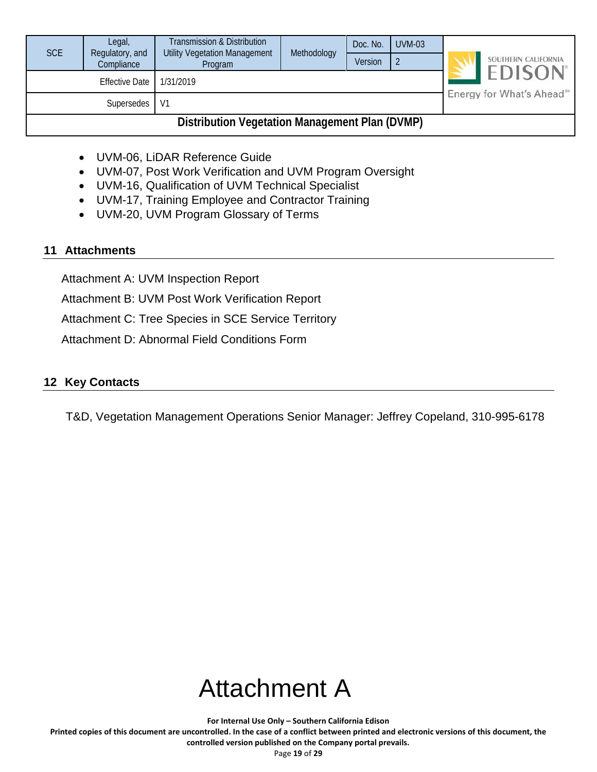| <b>SCE</b>                         | Legal,<br>Regulatory, and                      | Transmission & Distribution<br><b>Utility Vegetation Management</b> |             | Doc. No. | <b>UVM-03</b> |  |                                      |  |  |
|------------------------------------|------------------------------------------------|---------------------------------------------------------------------|-------------|----------|---------------|--|--------------------------------------|--|--|
|                                    | Compliance                                     | <b>Program</b>                                                      | Methodology | Version  |               |  | SOUTHERN CALIFORNIA<br><b>EDISON</b> |  |  |
| 1/31/2019<br><b>Effective Date</b> |                                                |                                                                     |             |          |               |  | Energy for What's Ahead <sup>®</sup> |  |  |
|                                    | <b>Supersedes</b>                              | l V1                                                                |             |          |               |  |                                      |  |  |
|                                    | Distribution Vegetation Management Plan (DVMP) |                                                                     |             |          |               |  |                                      |  |  |

- UVM-06, LiDAR Reference Guide
- UVM-07, Post Work Verification and UVM Program Oversight
- UVM-16, Qualification of UVM Technical Specialist
- UVM-17, Training Employee and Contractor Training
- UVM-20, UVM Program Glossary of Terms

#### <span id="page-18-0"></span>**11 Attachments**

Attachment A: UVM Inspection Report Attachment B: UVM Post Work Verification Report Attachment C: Tree Species in SCE Service Territory Attachment D: Abnormal Field Conditions Form

#### <span id="page-18-1"></span>**12 Key Contacts**

T&D, Vegetation Management Operations Senior Manager: Jeffrey Copeland, 310-995-6178



**For Internal Use Only – Southern California Edison**

**Printed copies of this document are uncontrolled. In the case of a conflict between printed and electronic versions of this document, the**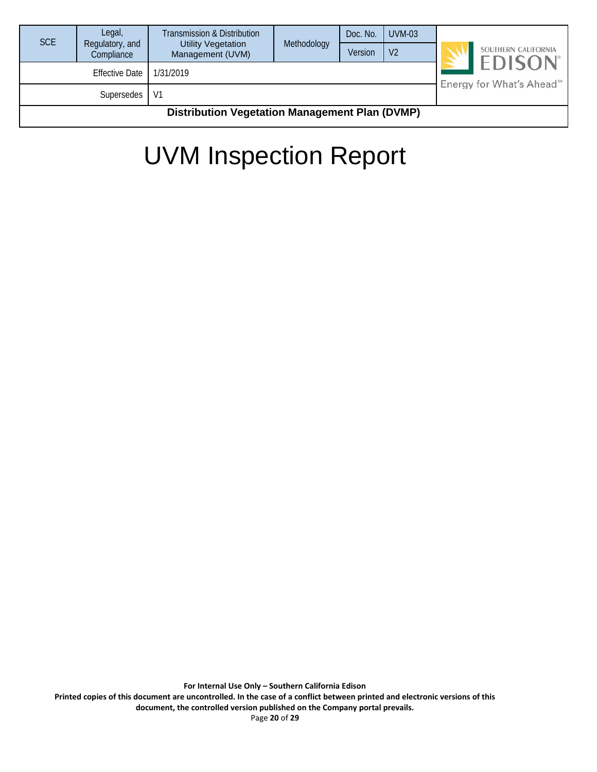| SCE                                | Legal,                        | <b>Transmission &amp; Distribution</b>                |             | Doc. No. | $UVM-03$       |                                      |
|------------------------------------|-------------------------------|-------------------------------------------------------|-------------|----------|----------------|--------------------------------------|
|                                    | Regulatory, and<br>Compliance | <b>Utility Vegetation</b><br>Management (UVM)         | Methodology | Version  | V <sub>2</sub> | SOUTHERN CALIFORNIA<br><b>EDISON</b> |
| 1/31/2019<br><b>Effective Date</b> |                               |                                                       |             |          |                | Energy for What's Ahead <sup>®</sup> |
| Supersedes<br>- V1                 |                               |                                                       |             |          |                |                                      |
|                                    |                               | <b>Distribution Vegetation Management Plan (DVMP)</b> |             |          |                |                                      |

# UVM Inspection Report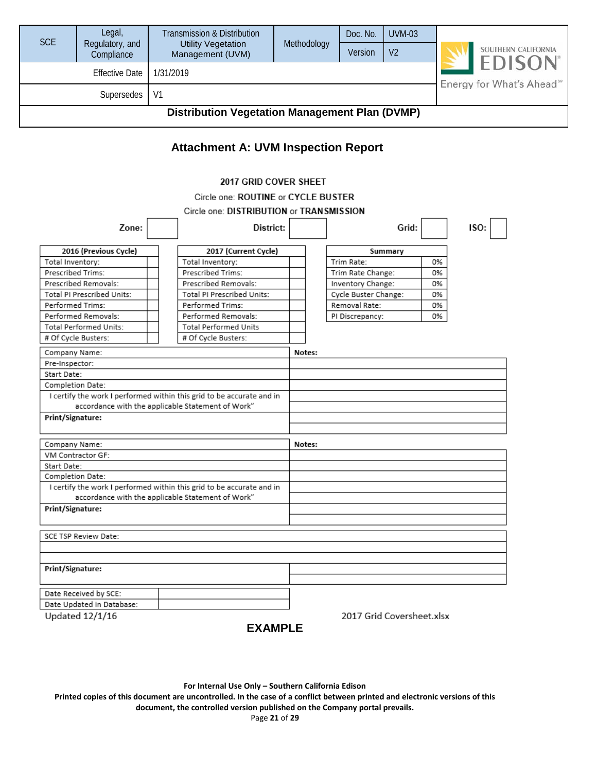| SCE | Legal,<br>Regulatory, and<br>Compliance | <b>Transmission &amp; Distribution</b><br>Utility Vegetation<br>Management (UVM) | Methodology | Doc. No.<br>Version | $UVM-03$<br>V <sub>2</sub> | SOUTHERN CALIFORNIA                  |
|-----|-----------------------------------------|----------------------------------------------------------------------------------|-------------|---------------------|----------------------------|--------------------------------------|
|     | <b>Effective Date</b>                   | 1/31/2019                                                                        |             |                     |                            | <b>EDISON®</b>                       |
|     | Supersedes                              | - V1                                                                             |             |                     |                            | Energy for What's Ahead <sup>®</sup> |
|     |                                         | <b>Distribution Vegetation Management Plan (DVMP)</b>                            |             |                     |                            |                                      |
|     |                                         |                                                                                  |             |                     |                            |                                      |

#### **Attachment A: UVM Inspection Report**

#### 2017 GRID COVER SHEET

#### Circle one: ROUTINE or CYCLE BUSTER

#### Circle one: DISTRIBUTION or TRANSMISSION

| 2016 (Previous Cycle)<br>2017 (Current Cycle)<br>Summary<br>Total Inventory:<br>Total Inventory:<br>Trim Rate:<br>0%<br>Prescribed Trims:<br>Prescribed Trims:<br>Trim Rate Change:<br>0%<br>Prescribed Removals:<br>Prescribed Removals:<br>0%<br>Inventory Change:<br>Total PI Prescribed Units:<br>Total PI Prescribed Units:<br>Cycle Buster Change:<br>0%<br>Performed Trims:<br>Performed Trims:<br>Removal Rate:<br>0%<br>Performed Removals:<br>Performed Removals:<br>PI Discrepancy:<br>0%<br>Total Performed Units:<br><b>Total Performed Units</b><br># Of Cycle Busters:<br># Of Cycle Busters:<br>Company Name:<br>Notes:<br>Pre-Inspector:<br>Start Date:<br>Completion Date:<br>I certify the work I performed within this grid to be accurate and in<br>accordance with the applicable Statement of Work"<br>Print/Signature:<br>Company Name:<br>Notes:<br>VM Contractor GF:<br>Start Date:<br>Completion Date:<br>I certify the work I performed within this grid to be accurate and in<br>accordance with the applicable Statement of Work"<br>Print/Signature:<br>SCE TSP Review Date:<br>Print/Signature:<br>Date Received by SCE:<br>Date Updated in Database:<br>2017 Grid Coversheet.xlsx | Zone:                  | District: | Grid: | ISO: |
|--------------------------------------------------------------------------------------------------------------------------------------------------------------------------------------------------------------------------------------------------------------------------------------------------------------------------------------------------------------------------------------------------------------------------------------------------------------------------------------------------------------------------------------------------------------------------------------------------------------------------------------------------------------------------------------------------------------------------------------------------------------------------------------------------------------------------------------------------------------------------------------------------------------------------------------------------------------------------------------------------------------------------------------------------------------------------------------------------------------------------------------------------------------------------------------------------------------------|------------------------|-----------|-------|------|
|                                                                                                                                                                                                                                                                                                                                                                                                                                                                                                                                                                                                                                                                                                                                                                                                                                                                                                                                                                                                                                                                                                                                                                                                                    |                        |           |       |      |
|                                                                                                                                                                                                                                                                                                                                                                                                                                                                                                                                                                                                                                                                                                                                                                                                                                                                                                                                                                                                                                                                                                                                                                                                                    |                        |           |       |      |
|                                                                                                                                                                                                                                                                                                                                                                                                                                                                                                                                                                                                                                                                                                                                                                                                                                                                                                                                                                                                                                                                                                                                                                                                                    |                        |           |       |      |
|                                                                                                                                                                                                                                                                                                                                                                                                                                                                                                                                                                                                                                                                                                                                                                                                                                                                                                                                                                                                                                                                                                                                                                                                                    |                        |           |       |      |
|                                                                                                                                                                                                                                                                                                                                                                                                                                                                                                                                                                                                                                                                                                                                                                                                                                                                                                                                                                                                                                                                                                                                                                                                                    |                        |           |       |      |
|                                                                                                                                                                                                                                                                                                                                                                                                                                                                                                                                                                                                                                                                                                                                                                                                                                                                                                                                                                                                                                                                                                                                                                                                                    |                        |           |       |      |
|                                                                                                                                                                                                                                                                                                                                                                                                                                                                                                                                                                                                                                                                                                                                                                                                                                                                                                                                                                                                                                                                                                                                                                                                                    |                        |           |       |      |
|                                                                                                                                                                                                                                                                                                                                                                                                                                                                                                                                                                                                                                                                                                                                                                                                                                                                                                                                                                                                                                                                                                                                                                                                                    |                        |           |       |      |
|                                                                                                                                                                                                                                                                                                                                                                                                                                                                                                                                                                                                                                                                                                                                                                                                                                                                                                                                                                                                                                                                                                                                                                                                                    |                        |           |       |      |
|                                                                                                                                                                                                                                                                                                                                                                                                                                                                                                                                                                                                                                                                                                                                                                                                                                                                                                                                                                                                                                                                                                                                                                                                                    |                        |           |       |      |
|                                                                                                                                                                                                                                                                                                                                                                                                                                                                                                                                                                                                                                                                                                                                                                                                                                                                                                                                                                                                                                                                                                                                                                                                                    |                        |           |       |      |
|                                                                                                                                                                                                                                                                                                                                                                                                                                                                                                                                                                                                                                                                                                                                                                                                                                                                                                                                                                                                                                                                                                                                                                                                                    |                        |           |       |      |
|                                                                                                                                                                                                                                                                                                                                                                                                                                                                                                                                                                                                                                                                                                                                                                                                                                                                                                                                                                                                                                                                                                                                                                                                                    |                        |           |       |      |
|                                                                                                                                                                                                                                                                                                                                                                                                                                                                                                                                                                                                                                                                                                                                                                                                                                                                                                                                                                                                                                                                                                                                                                                                                    |                        |           |       |      |
|                                                                                                                                                                                                                                                                                                                                                                                                                                                                                                                                                                                                                                                                                                                                                                                                                                                                                                                                                                                                                                                                                                                                                                                                                    |                        |           |       |      |
|                                                                                                                                                                                                                                                                                                                                                                                                                                                                                                                                                                                                                                                                                                                                                                                                                                                                                                                                                                                                                                                                                                                                                                                                                    |                        |           |       |      |
|                                                                                                                                                                                                                                                                                                                                                                                                                                                                                                                                                                                                                                                                                                                                                                                                                                                                                                                                                                                                                                                                                                                                                                                                                    |                        |           |       |      |
|                                                                                                                                                                                                                                                                                                                                                                                                                                                                                                                                                                                                                                                                                                                                                                                                                                                                                                                                                                                                                                                                                                                                                                                                                    |                        |           |       |      |
|                                                                                                                                                                                                                                                                                                                                                                                                                                                                                                                                                                                                                                                                                                                                                                                                                                                                                                                                                                                                                                                                                                                                                                                                                    |                        |           |       |      |
|                                                                                                                                                                                                                                                                                                                                                                                                                                                                                                                                                                                                                                                                                                                                                                                                                                                                                                                                                                                                                                                                                                                                                                                                                    |                        |           |       |      |
|                                                                                                                                                                                                                                                                                                                                                                                                                                                                                                                                                                                                                                                                                                                                                                                                                                                                                                                                                                                                                                                                                                                                                                                                                    |                        |           |       |      |
|                                                                                                                                                                                                                                                                                                                                                                                                                                                                                                                                                                                                                                                                                                                                                                                                                                                                                                                                                                                                                                                                                                                                                                                                                    |                        |           |       |      |
|                                                                                                                                                                                                                                                                                                                                                                                                                                                                                                                                                                                                                                                                                                                                                                                                                                                                                                                                                                                                                                                                                                                                                                                                                    |                        |           |       |      |
|                                                                                                                                                                                                                                                                                                                                                                                                                                                                                                                                                                                                                                                                                                                                                                                                                                                                                                                                                                                                                                                                                                                                                                                                                    |                        |           |       |      |
|                                                                                                                                                                                                                                                                                                                                                                                                                                                                                                                                                                                                                                                                                                                                                                                                                                                                                                                                                                                                                                                                                                                                                                                                                    |                        |           |       |      |
|                                                                                                                                                                                                                                                                                                                                                                                                                                                                                                                                                                                                                                                                                                                                                                                                                                                                                                                                                                                                                                                                                                                                                                                                                    |                        |           |       |      |
|                                                                                                                                                                                                                                                                                                                                                                                                                                                                                                                                                                                                                                                                                                                                                                                                                                                                                                                                                                                                                                                                                                                                                                                                                    |                        |           |       |      |
|                                                                                                                                                                                                                                                                                                                                                                                                                                                                                                                                                                                                                                                                                                                                                                                                                                                                                                                                                                                                                                                                                                                                                                                                                    |                        |           |       |      |
|                                                                                                                                                                                                                                                                                                                                                                                                                                                                                                                                                                                                                                                                                                                                                                                                                                                                                                                                                                                                                                                                                                                                                                                                                    |                        |           |       |      |
|                                                                                                                                                                                                                                                                                                                                                                                                                                                                                                                                                                                                                                                                                                                                                                                                                                                                                                                                                                                                                                                                                                                                                                                                                    |                        |           |       |      |
|                                                                                                                                                                                                                                                                                                                                                                                                                                                                                                                                                                                                                                                                                                                                                                                                                                                                                                                                                                                                                                                                                                                                                                                                                    |                        |           |       |      |
|                                                                                                                                                                                                                                                                                                                                                                                                                                                                                                                                                                                                                                                                                                                                                                                                                                                                                                                                                                                                                                                                                                                                                                                                                    |                        |           |       |      |
|                                                                                                                                                                                                                                                                                                                                                                                                                                                                                                                                                                                                                                                                                                                                                                                                                                                                                                                                                                                                                                                                                                                                                                                                                    | <b>Updated 12/1/16</b> |           |       |      |

#### **EXAMPLE**

**For Internal Use Only – Southern California Edison Printed copies of this document are uncontrolled. In the case of a conflict between printed and electronic versions of this document, the controlled version published on the Company portal prevails.**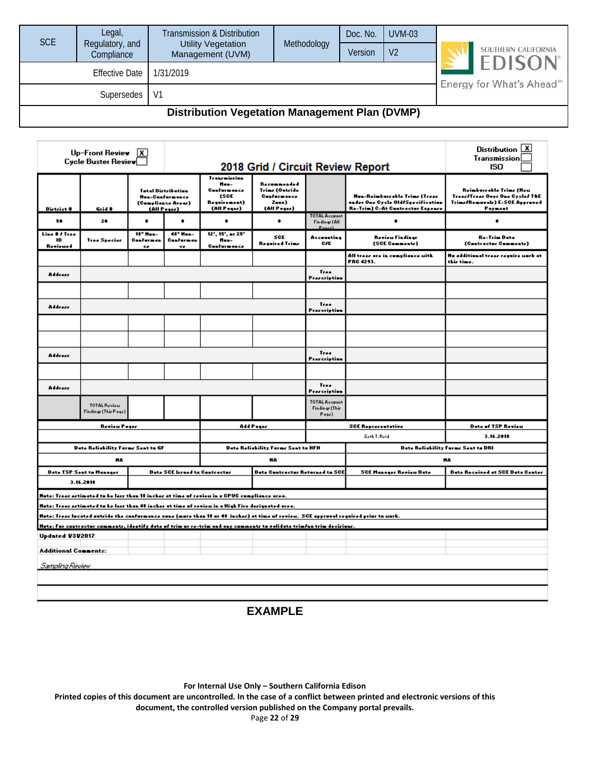| <b>SCE</b>                     | Legal,<br>Regulatory, and<br>Compliance     |                             |                                                                                   | <b>Transmission &amp; Distribution</b><br><b>Utility Vegetation</b><br>Management (UVM)                                                                                                                                                                                                                                                   |                                     |                                                                         | Methodology                                              | Doc. No.<br>Version               | $UVM-03$<br>V <sub>2</sub>                                                                                    | SOUTHERN CALIFORNIA<br><b>FDISC</b>                                                                             |
|--------------------------------|---------------------------------------------|-----------------------------|-----------------------------------------------------------------------------------|-------------------------------------------------------------------------------------------------------------------------------------------------------------------------------------------------------------------------------------------------------------------------------------------------------------------------------------------|-------------------------------------|-------------------------------------------------------------------------|----------------------------------------------------------|-----------------------------------|---------------------------------------------------------------------------------------------------------------|-----------------------------------------------------------------------------------------------------------------|
|                                | <b>Effective Date</b>                       |                             | 1/31/2019                                                                         |                                                                                                                                                                                                                                                                                                                                           |                                     |                                                                         |                                                          |                                   |                                                                                                               |                                                                                                                 |
|                                | Supersedes                                  | V <sub>1</sub>              |                                                                                   |                                                                                                                                                                                                                                                                                                                                           |                                     |                                                                         |                                                          |                                   |                                                                                                               | Energy for What's Ahead <sup>®</sup>                                                                            |
|                                |                                             |                             |                                                                                   | <b>Distribution Vegetation Management Plan (DVMP)</b>                                                                                                                                                                                                                                                                                     |                                     |                                                                         |                                                          |                                   |                                                                                                               |                                                                                                                 |
|                                | Up-Front Review<br>Cycle Buster Review      | X                           |                                                                                   |                                                                                                                                                                                                                                                                                                                                           |                                     |                                                                         |                                                          | 2018 Grid / Circuit Review Report |                                                                                                               | Distribution   X<br>Transmission<br><b>ISO</b>                                                                  |
| Dirtrict #                     | Grid #                                      |                             | <b>Tatel Dirtribution</b><br>Mun-Cunfurmance<br>(Compliance Arear)<br>(All Pager) | Trasceizzies<br>Mun-<br>Confermence<br>(SCE<br>Requirement)<br>(All Pager)                                                                                                                                                                                                                                                                |                                     | Reconnected<br>Trina (Ostride<br>Confermence<br>$Z = -1$<br>(All Peqar) |                                                          |                                   | <b>Mun-Reimburzable Trims (Trees</b><br>under One Cycle Old/Specification<br>Re-Trim) C-At Contractor Expense | <b>Reinburrable Trinr (Neu</b><br>TreerfTreer Over One Cyclef T&E<br>Trinar/Removels) E-SCE Approved<br>Payment |
| 50                             | 20                                          |                             | ٠                                                                                 | ٠                                                                                                                                                                                                                                                                                                                                         |                                     | ٠                                                                       | <b>TOTAL Account</b><br>Finding: (All                    |                                   | ٠                                                                                                             | ٠                                                                                                               |
| Line # / Tree<br>m<br>Reviewed | Tree Specier                                | 18" Han-<br>Conferman<br>c. | 48° Has-<br>Confermen<br>c.                                                       | 12', 15', ar 25'<br>H=1-<br>Confermance                                                                                                                                                                                                                                                                                                   |                                     | SCE<br><b>Required Trims</b>                                            | Accounting<br>CIE                                        |                                   | <b>Review Findings</b><br>(SCE Connect)                                                                       | <b>Re-Trim Data</b><br>(Contractor Commentr)                                                                    |
|                                |                                             |                             |                                                                                   |                                                                                                                                                                                                                                                                                                                                           |                                     |                                                                         |                                                          | PRC 4293.                         | All trees are in compliance with                                                                              | No edditional treer require work at<br>thir time.                                                               |
| <b>Address</b>                 |                                             |                             |                                                                                   |                                                                                                                                                                                                                                                                                                                                           |                                     |                                                                         | Tree<br>Prozeriptiun                                     |                                   |                                                                                                               |                                                                                                                 |
| Address                        |                                             |                             |                                                                                   |                                                                                                                                                                                                                                                                                                                                           |                                     |                                                                         | Tree<br>Prarcription                                     |                                   |                                                                                                               |                                                                                                                 |
|                                |                                             |                             |                                                                                   |                                                                                                                                                                                                                                                                                                                                           |                                     |                                                                         |                                                          |                                   |                                                                                                               |                                                                                                                 |
| Address                        |                                             |                             |                                                                                   |                                                                                                                                                                                                                                                                                                                                           |                                     |                                                                         | Traa<br>Prorcription                                     |                                   |                                                                                                               |                                                                                                                 |
|                                |                                             |                             |                                                                                   |                                                                                                                                                                                                                                                                                                                                           |                                     |                                                                         | Tree                                                     |                                   |                                                                                                               |                                                                                                                 |
| <b>Address</b>                 | <b>TOTAL Review</b><br>Findings (This Page) |                             |                                                                                   |                                                                                                                                                                                                                                                                                                                                           |                                     |                                                                         | Prazeriptiun<br>TOTAL Account<br>Findings (This<br>Page) |                                   |                                                                                                               |                                                                                                                 |
|                                | Review Pager                                |                             |                                                                                   |                                                                                                                                                                                                                                                                                                                                           | A44 Pager                           |                                                                         |                                                          | <b>SCE Representative</b>         |                                                                                                               | Data of TSP Raviau                                                                                              |
|                                |                                             |                             |                                                                                   |                                                                                                                                                                                                                                                                                                                                           |                                     |                                                                         |                                                          | Soth T. Roid                      |                                                                                                               | 3.16.201#                                                                                                       |
|                                | Date Reliability Forms Sent to GF           |                             |                                                                                   |                                                                                                                                                                                                                                                                                                                                           | Date Reliability Furnar Sent to HFH |                                                                         |                                                          |                                   |                                                                                                               | Date Reliability Furnar Sent to DRI                                                                             |
|                                | MA<br>Date TSP Sent to Manager              |                             | Data SCE bruad to Contractor                                                      |                                                                                                                                                                                                                                                                                                                                           | MA                                  |                                                                         | Date Contractor Returned to SCE                          |                                   | <b>SCE Meneger Revieu Date</b>                                                                                | MA<br>Date Received at SCE Data Center                                                                          |
|                                | 3.16.2018                                   |                             |                                                                                   |                                                                                                                                                                                                                                                                                                                                           |                                     |                                                                         |                                                          |                                   |                                                                                                               |                                                                                                                 |
|                                |                                             |                             |                                                                                   | Nato: Troor ortimated ta be lorr than 18 inchor at time af reviou in a CPUC campliance area.<br>Nato: Troor ortimated ta be lorr than 4# inchor at time af reviou in a High Fire derignated area.<br>Nato: Troor inceted autride the canfarmence xane (mare then 18 ar 48 incher) et time af review. SCE oppravel required priar ta wark. |                                     |                                                                         |                                                          |                                   |                                                                                                               |                                                                                                                 |

**EXAMPLE**

Hate: Far cantrectur canments, identify date of trim ar re-trim and any camments to velidate trimfun trim decisions.

Updated #3#2017 **Additional Comments:** <u>Sampling Rewiew i</u>

**For Internal Use Only – Southern California Edison**

**Printed copies of this document are uncontrolled. In the case of a conflict between printed and electronic versions of this** 

**document, the controlled version published on the Company portal prevails.**

Page **22** of **29**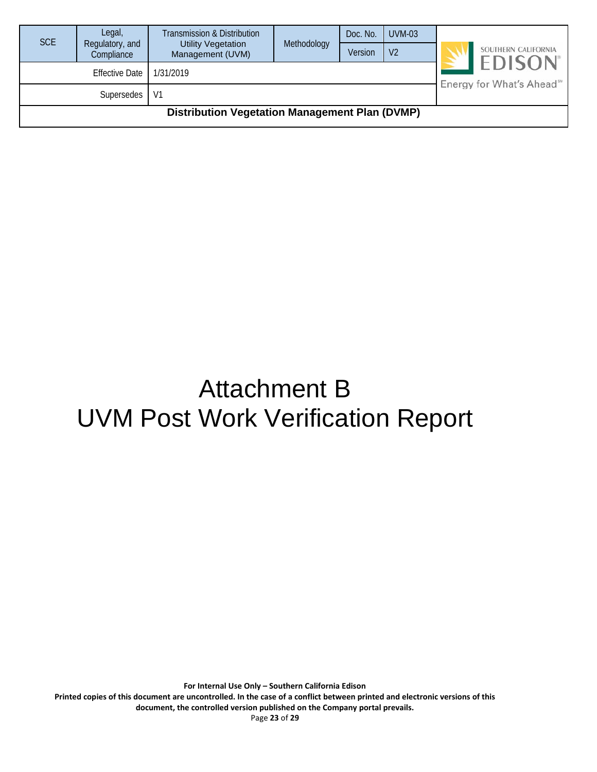| <b>SCE</b>                 | Legal,                                         | <b>Transmission &amp; Distribution</b><br>Regulatory, and<br>Utility Vegetation |             | Doc. No. | $UVM-03$       |  |                                                |  |  |
|----------------------------|------------------------------------------------|---------------------------------------------------------------------------------|-------------|----------|----------------|--|------------------------------------------------|--|--|
|                            | Compliance                                     | Management (UVM)                                                                | Methodology | Version  | V <sub>2</sub> |  | SOUTHERN CALIFORNIA                            |  |  |
| Effective Date   1/31/2019 |                                                |                                                                                 |             |          |                |  | EDISON<br>Energy for What's Ahead <sup>®</sup> |  |  |
|                            | Supersedes   V1                                |                                                                                 |             |          |                |  |                                                |  |  |
|                            | Distribution Vegetation Management Plan (DVMP) |                                                                                 |             |          |                |  |                                                |  |  |

# Attachment B UVM Post Work Verification Report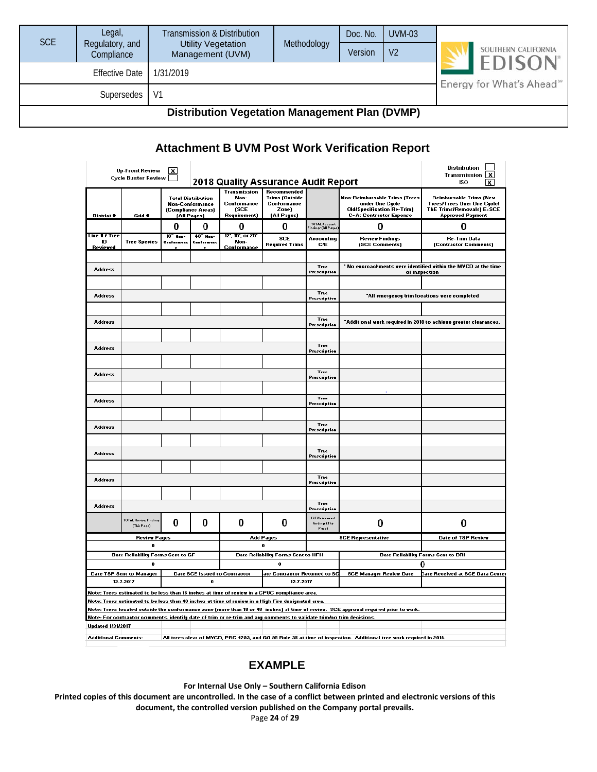| SCE                                | Legal, | Transmission & Distribution                           | Methodology | Doc. No. | <b>UVM-03</b>  |                                      |                                      |
|------------------------------------|--------|-------------------------------------------------------|-------------|----------|----------------|--------------------------------------|--------------------------------------|
| Regulatory, and<br>Compliance      |        | <b>Utility Vegetation</b><br>Management (UVM)         |             | Version  | V <sub>2</sub> |                                      | SOUTHERN CALIFORNIA<br><b>EDISON</b> |
| <b>Effective Date</b><br>1/31/2019 |        |                                                       |             |          |                | Energy for What's Ahead <sup>®</sup> |                                      |
| Supersedes   V1                    |        |                                                       |             |          |                |                                      |                                      |
|                                    |        | <b>Distribution Vegetation Management Plan (DVMP)</b> |             |          |                |                                      |                                      |

#### **Attachment B UVM Post Work Verification Report**

|                                 | Up-Front Review<br><b>Cycle Buster Review</b> | $\mathbf{x}$            |                                                                                          |                                                             | 2018 Quality Assurance Audit Report                                                                                  |                                           |                                                                                                                                      | Distribution<br>Transmission<br>$\mathbf{x}$<br>IS <sub>0</sub><br>x                                                             |
|---------------------------------|-----------------------------------------------|-------------------------|------------------------------------------------------------------------------------------|-------------------------------------------------------------|----------------------------------------------------------------------------------------------------------------------|-------------------------------------------|--------------------------------------------------------------------------------------------------------------------------------------|----------------------------------------------------------------------------------------------------------------------------------|
| District #                      | Grid #                                        |                         | <b>Total Distribution</b><br><b>Non-Conformance</b><br>(Compliance Areas)<br>(All Pages) | Transmission<br>Non-<br>Conformance<br>(SCE<br>Requirement) | Recommended<br><b>Trims (Outside</b><br>Conformance<br>Zone)<br>(All Pages)                                          |                                           | Non-Reimbursable Trims (Trees<br>under One Cycle<br><b>Old/Specification Re-Trim)</b><br><b>C=At Contractor Expense</b>              | Reimbursable Trims (New<br><b>Trees/Trees Over One Cycle/</b><br><b>T&amp;E Trims/Removals) E=SCE</b><br><b>Approved Payment</b> |
|                                 |                                               | o                       | o                                                                                        | o                                                           | 0                                                                                                                    | -<br>TOTAL Account<br>Findingr (All Pager | o                                                                                                                                    | o                                                                                                                                |
| Line # / Tree<br>ID<br>Reviewed | <b>Tree Species</b>                           | $18 - 11$<br>Conferment | 48 H <sub>m</sub> -<br>Conforman                                                         | 12", 15", or 25"<br>Non-<br>Conformance                     | <b>SCE</b><br><b>Required Trims</b>                                                                                  | Accounting<br>CIE                         | <b>Review Findings</b><br>(SCE Comments)                                                                                             | <b>Re-Trim Data</b><br>(Contractor Comments)                                                                                     |
| <b>Address</b>                  |                                               |                         |                                                                                          |                                                             |                                                                                                                      | Tree<br>Prescription                      |                                                                                                                                      | No encroachments were identified within the MYCD at the time<br>of inspection                                                    |
|                                 |                                               |                         |                                                                                          |                                                             |                                                                                                                      |                                           |                                                                                                                                      |                                                                                                                                  |
| <b>Address</b>                  |                                               |                         |                                                                                          |                                                             |                                                                                                                      | Tree<br>Prescription                      |                                                                                                                                      | "All emergency trim locations were completed                                                                                     |
|                                 |                                               |                         |                                                                                          |                                                             |                                                                                                                      |                                           |                                                                                                                                      |                                                                                                                                  |
| <b>Address</b>                  |                                               |                         |                                                                                          |                                                             |                                                                                                                      | Tree<br>Prescription                      |                                                                                                                                      | "Additional work required in 2018 to achieve greater clearances.                                                                 |
|                                 |                                               |                         |                                                                                          |                                                             |                                                                                                                      |                                           |                                                                                                                                      |                                                                                                                                  |
| <b>Address</b>                  |                                               |                         |                                                                                          |                                                             |                                                                                                                      | Tree<br>Prescription                      |                                                                                                                                      |                                                                                                                                  |
|                                 |                                               |                         |                                                                                          |                                                             |                                                                                                                      | Tree                                      |                                                                                                                                      |                                                                                                                                  |
| <b>Address</b>                  |                                               |                         |                                                                                          |                                                             |                                                                                                                      | Prescription                              |                                                                                                                                      |                                                                                                                                  |
|                                 |                                               |                         |                                                                                          |                                                             |                                                                                                                      | Tree                                      |                                                                                                                                      |                                                                                                                                  |
| <b>Address</b>                  |                                               |                         |                                                                                          |                                                             |                                                                                                                      | Prescription                              |                                                                                                                                      |                                                                                                                                  |
| <b>Address</b>                  |                                               |                         |                                                                                          |                                                             |                                                                                                                      | Tree<br>Prescription                      |                                                                                                                                      |                                                                                                                                  |
|                                 |                                               |                         |                                                                                          |                                                             |                                                                                                                      |                                           |                                                                                                                                      |                                                                                                                                  |
| <b>Address</b>                  |                                               |                         |                                                                                          |                                                             |                                                                                                                      | Tree<br>Prescription                      |                                                                                                                                      |                                                                                                                                  |
|                                 |                                               |                         |                                                                                          |                                                             |                                                                                                                      |                                           |                                                                                                                                      |                                                                                                                                  |
| <b>Address</b>                  |                                               |                         |                                                                                          |                                                             |                                                                                                                      | Tree<br>Prescription                      |                                                                                                                                      |                                                                                                                                  |
|                                 |                                               |                         |                                                                                          |                                                             |                                                                                                                      |                                           |                                                                                                                                      |                                                                                                                                  |
| <b>Address</b>                  |                                               |                         |                                                                                          |                                                             |                                                                                                                      | Tree<br>Prescription                      |                                                                                                                                      |                                                                                                                                  |
|                                 | TOTAL Review Findings<br>(ThirPage)           | o                       | 0                                                                                        | 0                                                           | 0                                                                                                                    | TOTAL Account<br>Findings (This<br>Page)  | 0                                                                                                                                    | 0                                                                                                                                |
|                                 | <b>Review Pages</b><br>n                      |                         |                                                                                          |                                                             | <b>Add Pages</b><br>0                                                                                                |                                           | <b>SCE Representative</b>                                                                                                            | Date of TSP Review                                                                                                               |
|                                 | Date Reliability Forms Sent to GF             |                         |                                                                                          |                                                             | Date Reliability Forms Sent to HFH                                                                                   |                                           |                                                                                                                                      | Date Reliability Forms Sent to DRI                                                                                               |
|                                 | n                                             |                         |                                                                                          |                                                             | n                                                                                                                    |                                           |                                                                                                                                      | 0                                                                                                                                |
|                                 | Date TSP Sent to Manager<br>12 7 2017         |                         | Ω                                                                                        | Date SCE Issued to Contractor                               | ate Contractor Returned to SC<br>12 7 2017                                                                           |                                           | <b>SCE Manager Review Date</b>                                                                                                       | Date Received at SCE Data Center                                                                                                 |
|                                 |                                               |                         |                                                                                          |                                                             | Note: Trees estimated to be less than 18 inches at time of review in a CPUC compliance area.                         |                                           |                                                                                                                                      |                                                                                                                                  |
|                                 |                                               |                         |                                                                                          |                                                             | Note: Trees estimated to be less than 48 inches at time of review in a High Fire designated area.                    |                                           |                                                                                                                                      |                                                                                                                                  |
|                                 |                                               |                         |                                                                                          |                                                             | Note: For contractor comments, identify date of trim or re-trim and any comments to validate trimino trim decisions. |                                           | Note: Trees located outside the conformance zone (more than 18 or 48 inches) at time of review. SCE approval required prior to work. |                                                                                                                                  |
| <b>Updated 1/31/2017</b>        |                                               |                         |                                                                                          |                                                             |                                                                                                                      |                                           |                                                                                                                                      |                                                                                                                                  |
| <b>Additional Comments:</b>     |                                               |                         |                                                                                          |                                                             |                                                                                                                      |                                           | All trees clear of MVCD, PRC 4293, and GO 95 Rule 35 at time of inspection. Additional tree work required in 2018.                   |                                                                                                                                  |

#### **EXAMPLE**

**For Internal Use Only – Southern California Edison**

**Printed copies of this document are uncontrolled. In the case of a conflict between printed and electronic versions of this document, the controlled version published on the Company portal prevails.**

Page **24** of **29**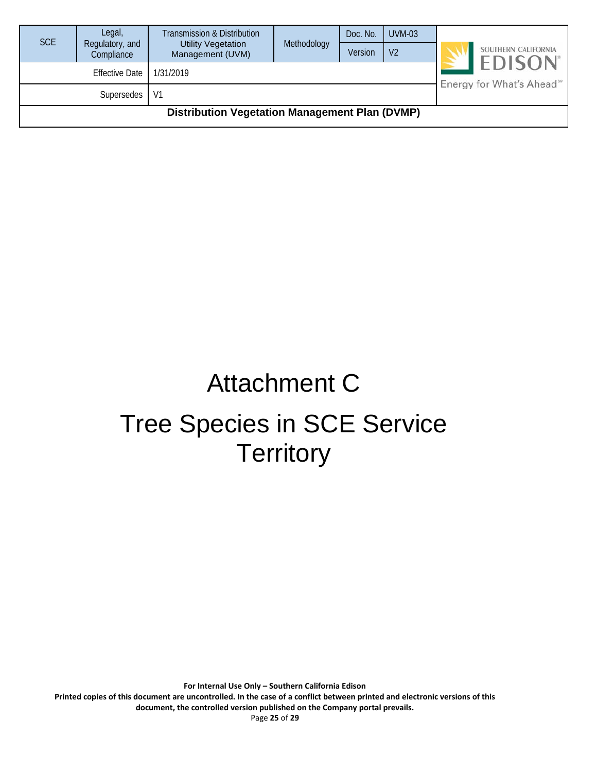| SCE                                | Legal,                                                | <b>Transmission &amp; Distribution</b>        | Methodology | Doc. No. | <b>UVM-03</b>  |                                                |                     |  |  |
|------------------------------------|-------------------------------------------------------|-----------------------------------------------|-------------|----------|----------------|------------------------------------------------|---------------------|--|--|
|                                    | Regulatory, and<br>Compliance                         | <b>Utility Vegetation</b><br>Management (UVM) |             | Version  | V <sub>2</sub> |                                                | SOUTHERN CALIFORNIA |  |  |
| 1/31/2019<br><b>Effective Date</b> |                                                       |                                               |             |          |                | EDISON<br>Energy for What's Ahead <sup>®</sup> |                     |  |  |
|                                    | - V1<br>Supersedes                                    |                                               |             |          |                |                                                |                     |  |  |
|                                    | <b>Distribution Vegetation Management Plan (DVMP)</b> |                                               |             |          |                |                                                |                     |  |  |

# Attachment C Tree Species in SCE Service **Territory**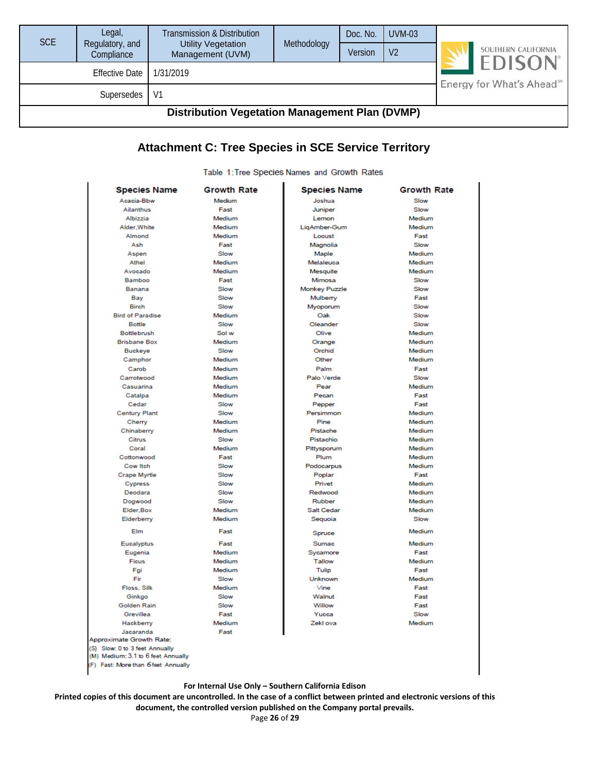| <b>SCE</b>                         | Legal,                        | Transmission & Distribution                    |             | Doc. No. | <b>UVM-03</b>  |                                      |
|------------------------------------|-------------------------------|------------------------------------------------|-------------|----------|----------------|--------------------------------------|
|                                    | Regulatory, and<br>Compliance | Utility Vegetation<br>Management (UVM)         | Methodology | Version  | V <sub>2</sub> | SOUTHERN CALIFORNIA<br><b>EDISON</b> |
| <b>Effective Date</b><br>1/31/2019 |                               |                                                |             |          |                | Energy for What's Ahead <sup>®</sup> |
|                                    | Supersedes                    | l V1                                           |             |          |                |                                      |
|                                    |                               | Distribution Vegetation Management Plan (DVMP) |             |          |                |                                      |

#### **Attachment C: Tree Species in SCE Service Territory**

Table 1: Tree Species Names and Growth Rates

| <b>Species Name</b>                 | <b>Growth Rate</b> | <b>Species Name</b>  | <b>Growth Rate</b> |
|-------------------------------------|--------------------|----------------------|--------------------|
| Acacia-Bbw                          | Medium             | Joshua               | Slow               |
| <b>Ailanthus</b>                    | Fast               | Juniper              | Slow               |
| Albizzia                            | Medium             | Lemon                | Medium             |
| Alder. White                        | Medium             | LigAmber-Gum         | Medium             |
| Almond                              | Medium             | Locust               | Fast               |
| Ash                                 | Fast               | Magnolia             | Slow               |
| Aspen                               | Slow               | Maple                | Medium             |
| Athel                               | Medium             | Melaleuca            | Medium             |
| Avocado                             | Medium             | Mesquite             | Medium             |
| Bamboo                              | Fast               | Mimosa               | Slow               |
| Banana                              | Slow               | <b>Monkey Puzzle</b> | Slow               |
| Bay                                 | Slow               | Mulberry             | Fast               |
| <b>Birch</b>                        | Slow               | Myoporum             | Slow               |
| <b>Bird of Paradise</b>             | Medium             | Oak                  | Slow               |
| <b>Bottle</b>                       | Slow               | Oleander             | Slow               |
| Bottlebrush                         | Sol w              | Olive                | Medium             |
| <b>Brisbane Box</b>                 | Medium             | Orange               | Medium             |
| <b>Buckeye</b>                      | Slow               | Orchid               | Medium             |
| Camphor                             | Medium             | Other                | Medium             |
| Carob                               | Medium             | Palm                 | Fast               |
| Carrotwood                          | Medium             | Palo Verde           | Slow               |
| Casuarina                           | Medium             | Pear                 | Medium             |
| Catalpa                             | Medium             | Pecan                | Fast               |
| Cedar                               | Slow               | Pepper               | Fast               |
| <b>Century Plant</b>                | Slow               | Persimmon            | Medium             |
| Cherry                              | Medium             | Pine                 | Medium             |
| Chinaberry                          | Medium             | Pistache             | Medium             |
| Citrus                              | Slow               | Pistachio            | Medium             |
| Coral                               | Medium             | Pittysporum          | Medium             |
| Cottonwood                          | Fast               | Plum                 | Medium             |
| Cow Itch                            | Slow               | Podocarpus           | Medium             |
| <b>Crape Myrtle</b>                 | Slow               | Poplar               | Fast               |
| Cypress                             | Slow               | Privet               | Medium             |
| Deodara                             | Slow               | Redwood              | Medium             |
| Dogwood                             | Slow               | Rubber               | Medium             |
| Elder, Box                          | Medium             | Salt Cedar           | Medium             |
| Elderberry                          | Medium             | Sequoia              | Slow               |
| Elm                                 | Fast               | Spruce               | Medium             |
| Eucalyptus                          | Fast               | Sumac                | Medium             |
| Eugenia                             | Medium             | Sycamore             | Fast               |
| Ficus                               | Medium             | Tallow               | Medium             |
| Fgi                                 | Medium             | Tulip                | Fast               |
| Fir                                 | Slow               | Unknown              | Medium             |
| Floss, Silk                         | Medium             | Vine                 | Fast               |
| Ginkgo                              | Slow               | Walnut               | Fast               |
| Golden Rain                         | Slow               | Willow               | Fast               |
| Grevillea                           | Fast               | Yucca                | Slow               |
| Hackberry                           | Medium             | Zekl ova             | Medium             |
| Jacaranda                           | Fast               |                      |                    |
| Approximate Growth Rate:            |                    |                      |                    |
| (S} Slow: 0 to 3 feet Annually      |                    |                      |                    |
| (M) Medium: 3.1 to 6 feet Annually  |                    |                      |                    |
| (F) Fast: More than 6 feet Annually |                    |                      |                    |

**For Internal Use Only – Southern California Edison**

**Printed copies of this document are uncontrolled. In the case of a conflict between printed and electronic versions of this document, the controlled version published on the Company portal prevails.**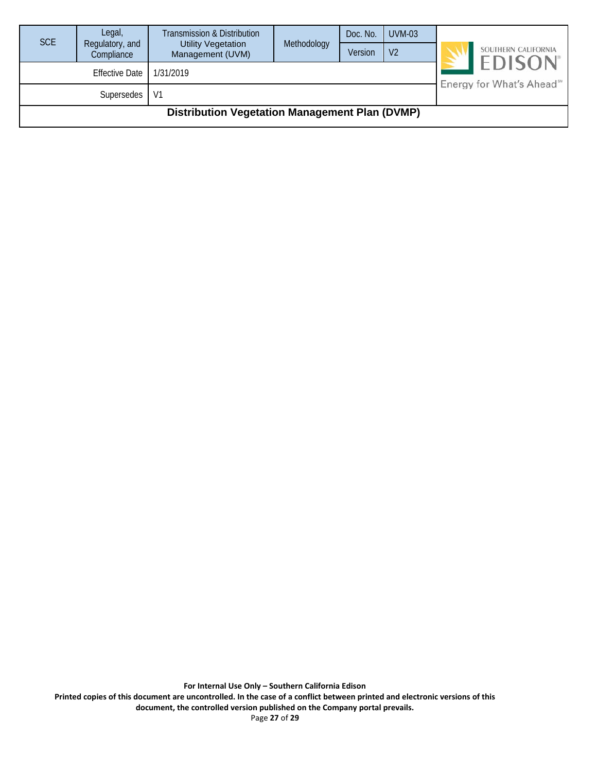| SCE                                | Legal,<br>Regulatory, and<br>Compliance | Transmission & Distribution<br><b>Utility Vegetation</b><br>Management (UVM) | Methodology | Doc. No.<br>Version | <b>UVM-03</b><br>V <sub>2</sub> |                                                       | SOUTHERN CALIFORNIA |  |
|------------------------------------|-----------------------------------------|------------------------------------------------------------------------------|-------------|---------------------|---------------------------------|-------------------------------------------------------|---------------------|--|
| 1/31/2019<br><b>Effective Date</b> |                                         |                                                                              |             |                     |                                 | <b>EDISON</b><br>Energy for What's Ahead <sup>®</sup> |                     |  |
| - V1<br>Supersedes                 |                                         |                                                                              |             |                     |                                 |                                                       |                     |  |
|                                    |                                         | Distribution Vegetation Management Plan (DVMP)                               |             |                     |                                 |                                                       |                     |  |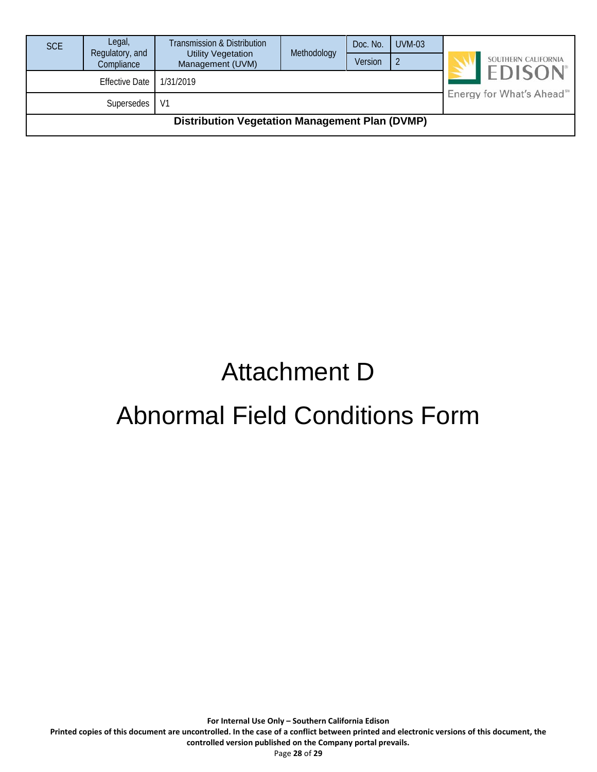| <b>SCE</b> | Legal,<br>Regulatory, and | Transmission & Distribution<br><b>Utility Vegetation</b> | Methodology | Doc. No. | $UVM-03$ |                           |
|------------|---------------------------|----------------------------------------------------------|-------------|----------|----------|---------------------------|
|            | Compliance                | Management (UVM)                                         |             | Version  |          | SOUTHERN CALIFORNIA       |
|            | <b>Effective Date</b>     | 1/31/2019                                                |             |          |          | <b>EDISON</b>             |
|            | Supersedes                | - V1                                                     |             |          |          | Energy for What's Ahead*" |
|            |                           | <b>Distribution Vegetation Management Plan (DVMP)</b>    |             |          |          |                           |

# Attachment D

# Abnormal Field Conditions Form